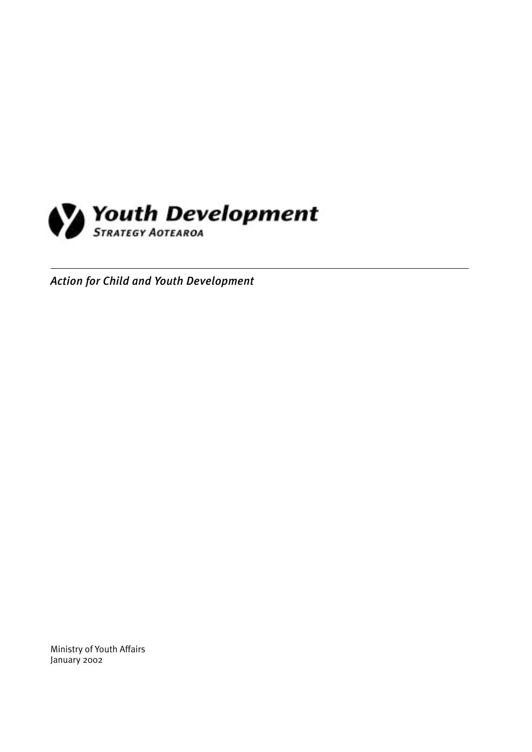

*Action for Child and Youth Development*

Ministry of Youth Affairs January 2002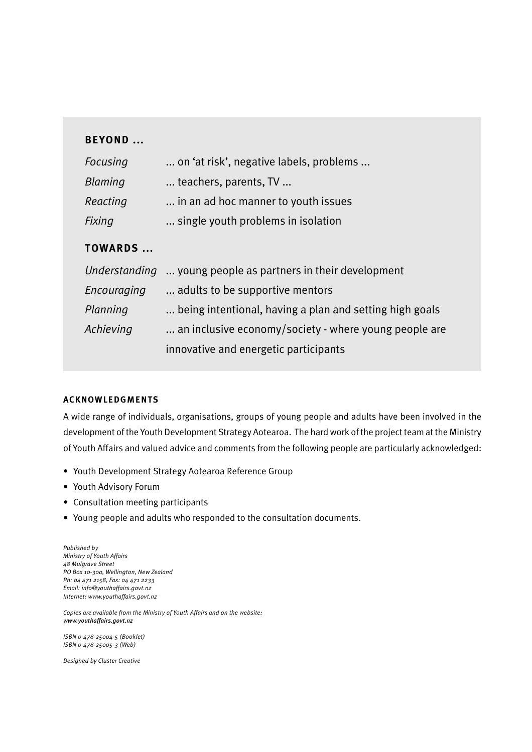# **BEYOND ...**

| Focusing       | on 'at risk', negative labels, problems |
|----------------|-----------------------------------------|
| <b>Blaming</b> | teachers, parents, TV                   |
| Reacting       | in an ad hoc manner to youth issues     |
| <b>Fixing</b>  | single youth problems in isolation      |

# **TOWARDS ...**

|             | Understanding  young people as partners in their development |
|-------------|--------------------------------------------------------------|
| Encouraging | adults to be supportive mentors.                             |
| Planning    | being intentional, having a plan and setting high goals      |
| Achieving   | an inclusive economy/society - where young people are        |
|             | innovative and energetic participants                        |

#### **ACKNOWLEDGMENTS**

A wide range of individuals, organisations, groups of young people and adults have been involved in the development of the Youth Development Strategy Aotearoa. The hard work of the project team at the Ministry of Youth Affairs and valued advice and comments from the following people are particularly acknowledged:

- Youth Development Strategy Aotearoa Reference Group
- Youth Advisory Forum
- Consultation meeting participants
- Young people and adults who responded to the consultation documents.

*Published by Ministry of Youth Affairs 48 Mulgrave Street PO Box 10-300, Wellington, New Zealand Ph: 04 471 2158, Fax: 04 471 2233 Email: info@youthaffairs.govt.nz Internet: www.youthaffairs.govt.nz*

*Copies are available from the Ministry of Youth Affairs and on the website: www.youthaffairs.govt.nz*

*ISBN 0-478-25004-5 (Booklet) ISBN 0-478-25005-3 (Web)*

*Designed by Cluster Creative*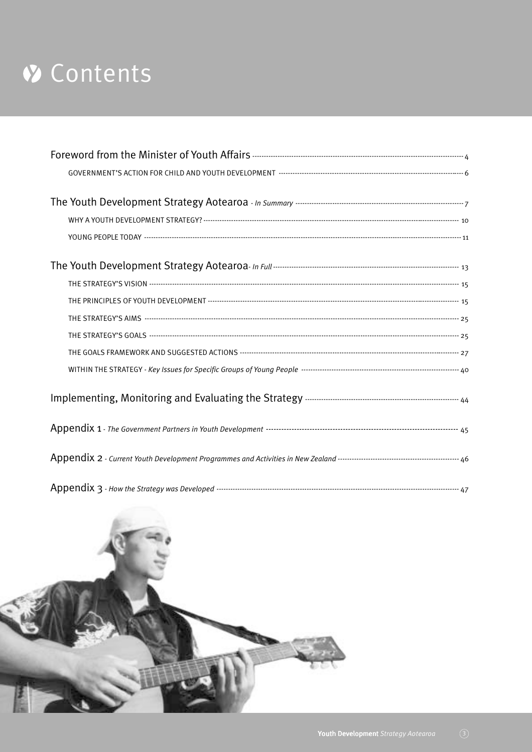# V Contents

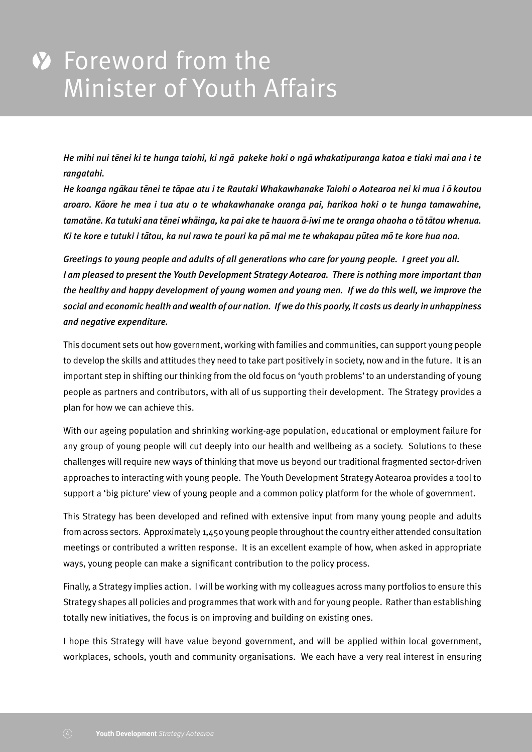*He mihi nui te¯nei ki te hunga taiohi, ki nga¯ pakeke hoki o nga¯ whakatipuranga katoa e tiaki mai ana i te rangatahi.*

*He koanga ngākau tēnei te tāpae atu i te Rautaki Whakawhanake Taiohi o Aotearoa nei ki mua i ō koutou aroaro. Ka¯ore he mea i tua atu o te whakawhanake oranga pai, harikoa hoki o te hunga tamawahine, tamata¯ne. Ka tutuki ana te¯nei wha¯inga, ka pai ake te hauora a¯-iwi me te oranga ohaoha o to¯ ta¯tou whenua.* Ki te kore e tutuki i tātou, ka nui rawa te pouri ka pā mai me te whakapau pūtea mō te kore hua noa.

*Greetings to young people and adults of all generations who care for young people. I greet you all. I am pleased to present the Youth Development Strategy Aotearoa. There is nothing more important than the healthy and happy development of young women and young men. If we do this well, we improve the social and economic health and wealth of our nation. If we do this poorly, it costs us dearly in unhappiness and negative expenditure.*

This document sets out how government, working with families and communities, can support young people to develop the skills and attitudes they need to take part positively in society, now and in the future. It is an important step in shifting our thinking from the old focus on 'youth problems' to an understanding of young people as partners and contributors, with all of us supporting their development. The Strategy provides a plan for how we can achieve this.

With our ageing population and shrinking working-age population, educational or employment failure for any group of young people will cut deeply into our health and wellbeing as a society. Solutions to these challenges will require new ways of thinking that move us beyond our traditional fragmented sector-driven approaches to interacting with young people. The Youth Development Strategy Aotearoa provides a tool to support a 'big picture' view of young people and a common policy platform for the whole of government.

This Strategy has been developed and refined with extensive input from many young people and adults from across sectors. Approximately 1,450 young people throughout the country either attended consultation meetings or contributed a written response. It is an excellent example of how, when asked in appropriate ways, young people can make a significant contribution to the policy process.

Finally, a Strategy implies action. I will be working with my colleagues across many portfolios to ensure this Strategy shapes all policies and programmes that work with and for young people. Rather than establishing totally new initiatives, the focus is on improving and building on existing ones.

I hope this Strategy will have value beyond government, and will be applied within local government, workplaces, schools, youth and community organisations. We each have a very real interest in ensuring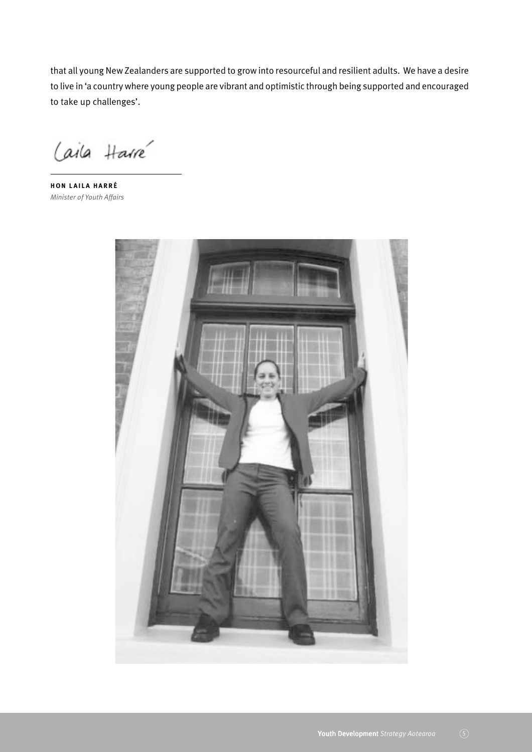that all young New Zealanders are supported to grow into resourceful and resilient adults. We have a desire to live in 'a country where young people are vibrant and optimistic through being supported and encouraged to take up challenges'.

Caila Harré

**HON LAILA HARRÉ** *Minister of Youth Affairs*

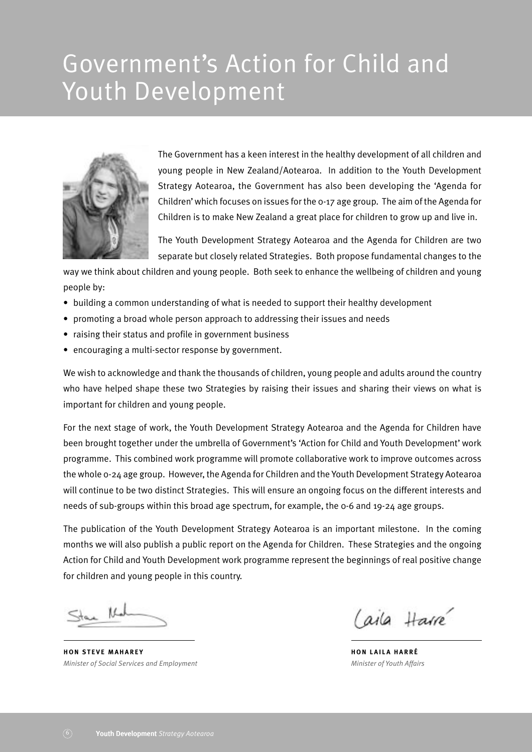# Government's Action for Child and Youth Development



The Government has a keen interest in the healthy development of all children and young people in New Zealand/Aotearoa. In addition to the Youth Development Strategy Aotearoa, the Government has also been developing the 'Agenda for Children' which focuses on issues for the 0-17 age group. The aim of the Agenda for Children is to make New Zealand a great place for children to grow up and live in.

The Youth Development Strategy Aotearoa and the Agenda for Children are two separate but closely related Strategies. Both propose fundamental changes to the

way we think about children and young people. Both seek to enhance the wellbeing of children and young people by:

- building a common understanding of what is needed to support their healthy development
- promoting a broad whole person approach to addressing their issues and needs
- raising their status and profile in government business
- encouraging a multi-sector response by government.

We wish to acknowledge and thank the thousands of children, young people and adults around the country who have helped shape these two Strategies by raising their issues and sharing their views on what is important for children and young people.

For the next stage of work, the Youth Development Strategy Aotearoa and the Agenda for Children have been brought together under the umbrella of Government's 'Action for Child and Youth Development' work programme. This combined work programme will promote collaborative work to improve outcomes across the whole 0-24 age group. However, the Agenda for Children and the Youth Development Strategy Aotearoa will continue to be two distinct Strategies. This will ensure an ongoing focus on the different interests and needs of sub-groups within this broad age spectrum, for example, the 0-6 and 19-24 age groups.

The publication of the Youth Development Strategy Aotearoa is an important milestone. In the coming months we will also publish a public report on the Agenda for Children. These Strategies and the ongoing Action for Child and Youth Development work programme represent the beginnings of real positive change for children and young people in this country.

 $LL$ 

**HON STEVE MAHAREY** *Minister of Social Services and Employment*

aila Harré

**HON LAILA HARRÉ** *Minister of Youth Affairs*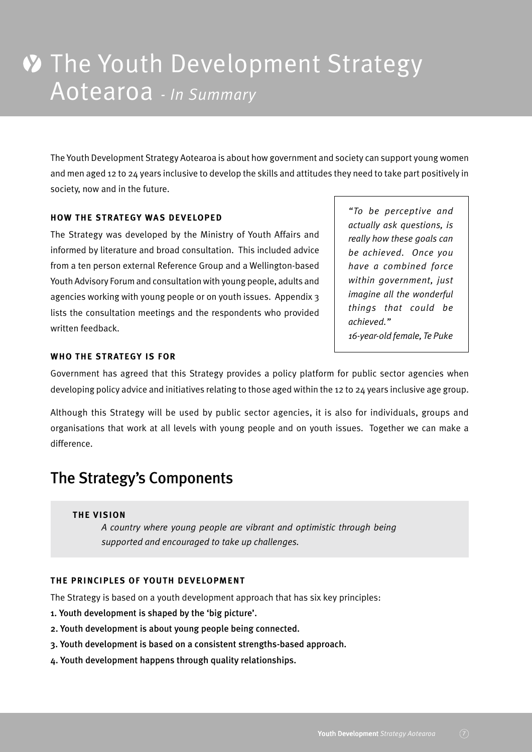The Youth Development Strategy Aotearoa is about how government and society can support young women and men aged 12 to 24 years inclusive to develop the skills and attitudes they need to take part positively in society, now and in the future.

#### **HOW THE STRATEGY WAS DEVELOPED**

The Strategy was developed by the Ministry of Youth Affairs and informed by literature and broad consultation. This included advice from a ten person external Reference Group and a Wellington-based Youth Advisory Forum and consultation with young people, adults and agencies working with young people or on youth issues. Appendix 3 lists the consultation meetings and the respondents who provided written feedback.

*"To be perceptive and actually ask questions, is really how these goals can be achieved. Once you have a combined force within government, just imagine all the wonderful things that could be achieved." 16-year-old female, Te Puke*

#### **WHO THE STRATEGY IS FOR**

Government has agreed that this Strategy provides a policy platform for public sector agencies when developing policy advice and initiatives relating to those aged within the 12 to 24 years inclusive age group.

Although this Strategy will be used by public sector agencies, it is also for individuals, groups and organisations that work at all levels with young people and on youth issues. Together we can make a difference.

# The Strategy's Components

#### **THE VISION**

*A country where young people are vibrant and optimistic through being supported and encouraged to take up challenges.*

#### **THE PRINCIPLES OF YOUTH DEVELOPMENT**

The Strategy is based on a youth development approach that has six key principles:

- 1. Youth development is shaped by the 'big picture'.
- 2. Youth development is about young people being connected.
- 3. Youth development is based on a consistent strengths-based approach.
- 4. Youth development happens through quality relationships.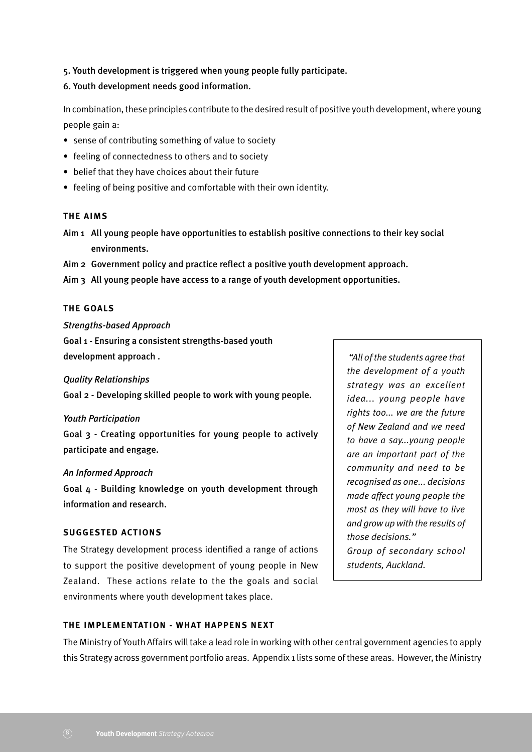5. Youth development is triggered when young people fully participate.

6. Youth development needs good information.

In combination, these principles contribute to the desired result of positive youth development, where young people gain a:

- sense of contributing something of value to society
- feeling of connectedness to others and to society
- belief that they have choices about their future
- feeling of being positive and comfortable with their own identity.

#### **THE AIMS**

- Aim 1 All young people have opportunities to establish positive connections to their key social environments.
- Aim 2 Government policy and practice reflect a positive youth development approach.
- Aim 3 All young people have access to a range of youth development opportunities.

#### **THE GOALS**

#### *Strengths-based Approach*

Goal 1 - Ensuring a consistent strengths-based youth development approach .

#### *Quality Relationships*

Goal 2 - Developing skilled people to work with young people.

#### *Youth Participation*

Goal 3 - Creating opportunities for young people to actively participate and engage.

#### *An Informed Approach*

Goal 4 - Building knowledge on youth development through information and research.

#### **SUGGESTED ACTIONS**

The Strategy development process identified a range of actions to support the positive development of young people in New Zealand. These actions relate to the the goals and social environments where youth development takes place.

 *"All of the students agree that the development of a youth strategy was an excellent idea... young people have rights too... we are the future of New Zealand and we need to have a say...young people are an important part of the community and need to be recognised as one... decisions made affect young people the most as they will have to live and grow up with the results of those decisions." Group of secondary school students, Auckland.*

### **THE IMPLEMENTATION - WHAT HAPPENS NEXT**

The Ministry of Youth Affairs will take a lead role in working with other central government agencies to apply this Strategy across government portfolio areas. Appendix 1 lists some of these areas. However, the Ministry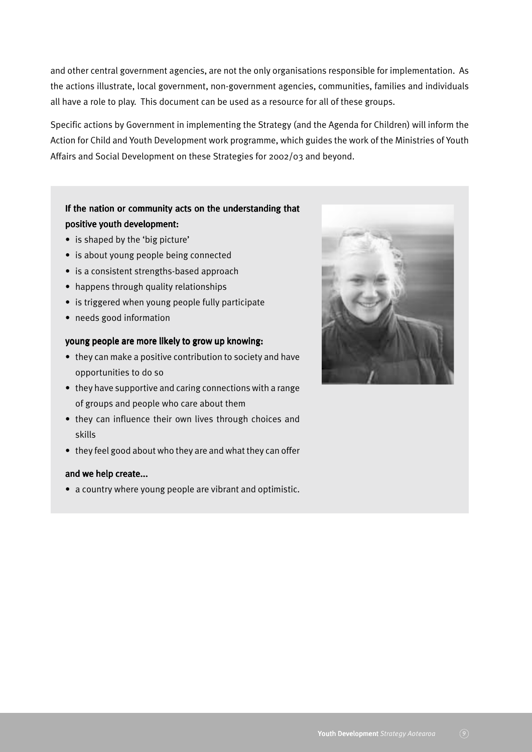and other central government agencies, are not the only organisations responsible for implementation. As the actions illustrate, local government, non-government agencies, communities, families and individuals all have a role to play. This document can be used as a resource for all of these groups.

Specific actions by Government in implementing the Strategy (and the Agenda for Children) will inform the Action for Child and Youth Development work programme, which guides the work of the Ministries of Youth Affairs and Social Development on these Strategies for 2002/03 and beyond.

# If the nation or community acts on the understanding that positive youth development:

- is shaped by the 'big picture'
- is about young people being connected
- is a consistent strengths-based approach
- happens through quality relationships
- is triggered when young people fully participate
- needs good information

#### young people are more likely to grow up knowing:

- they can make a positive contribution to society and have opportunities to do so
- they have supportive and caring connections with a range of groups and people who care about them
- they can influence their own lives through choices and skills
- they feel good about who they are and what they can offer

#### and we help create...

• a country where young people are vibrant and optimistic.

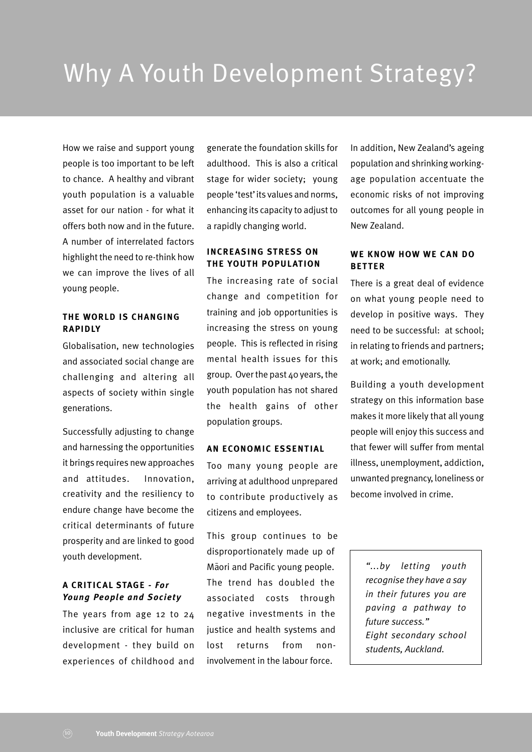How we raise and support young people is too important to be left to chance. A healthy and vibrant youth population is a valuable asset for our nation - for what it offers both now and in the future. A number of interrelated factors highlight the need to re-think how we can improve the lives of all young people.

#### **THE WORLD IS CHANGING RAPIDLY**

Globalisation, new technologies and associated social change are challenging and altering all aspects of society within single generations.

Successfully adjusting to change and harnessing the opportunities it brings requires new approaches and attitudes. Innovation, creativity and the resiliency to endure change have become the critical determinants of future prosperity and are linked to good youth development.

### **A CRITICAL STAGE** *- For Young People and Society*

The years from age 12 to 24 inclusive are critical for human development - they build on experiences of childhood and

generate the foundation skills for adulthood. This is also a critical stage for wider society; young people 'test' its values and norms, enhancing its capacity to adjust to a rapidly changing world.

## **INCREASING STRESS ON THE YOUTH POPULATION**

The increasing rate of social change and competition for training and job opportunities is increasing the stress on young people. This is reflected in rising mental health issues for this group. Over the past 40 years, the youth population has not shared the health gains of other population groups.

#### **AN ECONOMIC ESSENTIAL**

Too many young people are arriving at adulthood unprepared to contribute productively as citizens and employees.

This group continues to be disproportionately made up of Maori and Pacific young people. The trend has doubled the associated costs through negative investments in the justice and health systems and lost returns from noninvolvement in the labour force.

In addition, New Zealand's ageing population and shrinking workingage population accentuate the economic risks of not improving outcomes for all young people in New Zealand.

#### **WE KNOW HOW WE CAN DO BETTER**

There is a great deal of evidence on what young people need to develop in positive ways. They need to be successful: at school; in relating to friends and partners; at work; and emotionally.

Building a youth development strategy on this information base makes it more likely that all young people will enjoy this success and that fewer will suffer from mental illness, unemployment, addiction, unwanted pregnancy, loneliness or become involved in crime.

> *"...by letting youth recognise they have a say in their futures you are paving a pathway to future success." Eight secondary school students, Auckland.*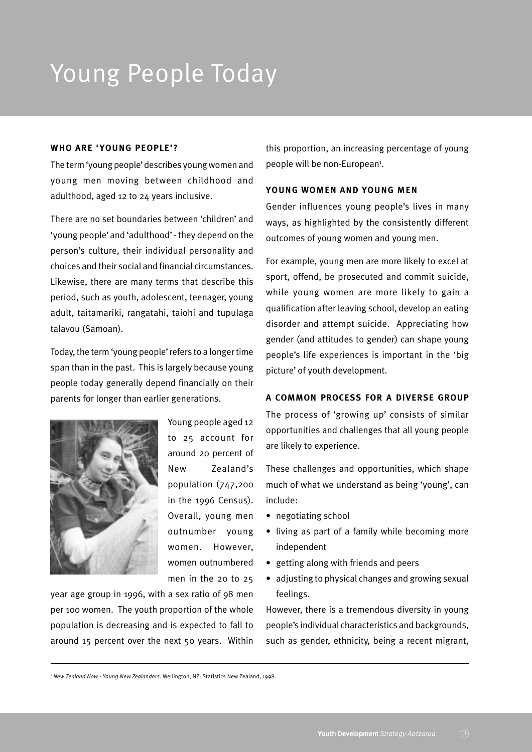# Young People Today

#### **WHO ARE 'YOUNG PEOPLE'?**

The term 'young people' describes young women and young men moving between childhood and adulthood, aged 12 to 24 years inclusive.

There are no set boundaries between 'children' and 'young people' and 'adulthood' - they depend on the person's culture, their individual personality and choices and their social and financial circumstances. Likewise, there are many terms that describe this period, such as youth, adolescent, teenager, young adult, taitamariki, rangatahi, taiohi and tupulaga talavou (Samoan).

Today, the term 'young people' refers to a longer time span than in the past. This is largely because young people today generally depend financially on their parents for longer than earlier generations.



Young people aged 12 to 25 account for around 20 percent of New Zealand's population (747,200 in the 1996 Census). Overall, young men outnumber young women. However, women outnumbered men in the 20 to 25

year age group in 1996, with a sex ratio of 98 men per 100 women. The youth proportion of the whole population is decreasing and is expected to fall to around 15 percent over the next 50 years. Within

this proportion, an increasing percentage of young people will be non-European<sup>1</sup>.

#### **YOUNG WOMEN AND YOUNG MEN**

Gender influences young people's lives in many ways, as highlighted by the consistently different outcomes of young women and young men.

For example, young men are more likely to excel at sport, offend, be prosecuted and commit suicide, while young women are more likely to gain a qualification after leaving school, develop an eating disorder and attempt suicide. Appreciating how gender (and attitudes to gender) can shape young people's life experiences is important in the 'big picture' of youth development.

#### **A COMMON PROCESS FOR A DIVERSE GROUP**

The process of 'growing up' consists of similar opportunities and challenges that all young people are likely to experience.

These challenges and opportunities, which shape much of what we understand as being 'young', can include:

- negotiating school
- living as part of a family while becoming more independent
- getting along with friends and peers
- adjusting to physical changes and growing sexual feelings.

However, there is a tremendous diversity in young people's individual characteristics and backgrounds, such as gender, ethnicity, being a recent migrant,

<sup>1</sup> *New Zealand Now - Young New Zealanders*. Wellington, NZ: Statistics New Zealand, 1998.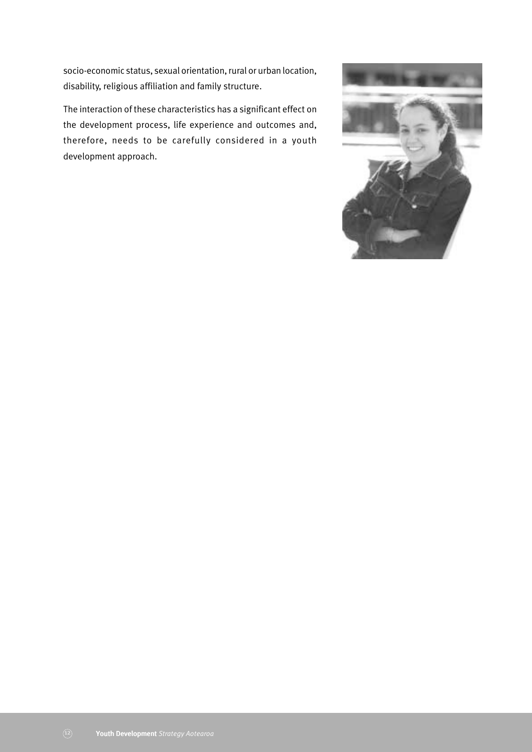socio-economic status, sexual orientation, rural or urban location, disability, religious affiliation and family structure.

The interaction of these characteristics has a significant effect on the development process, life experience and outcomes and, therefore, needs to be carefully considered in a youth development approach.

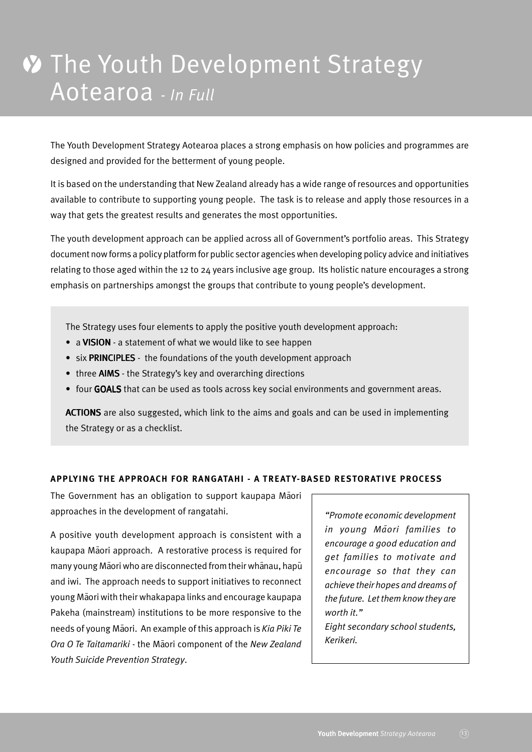# **W** The Youth Development Strategy Aotearoa *- In Full*

The Youth Development Strategy Aotearoa places a strong emphasis on how policies and programmes are designed and provided for the betterment of young people.

It is based on the understanding that New Zealand already has a wide range of resources and opportunities available to contribute to supporting young people. The task is to release and apply those resources in a way that gets the greatest results and generates the most opportunities.

The youth development approach can be applied across all of Government's portfolio areas. This Strategy document now forms a policy platform for public sector agencies when developing policy advice and initiatives relating to those aged within the 12 to 24 years inclusive age group. Its holistic nature encourages a strong emphasis on partnerships amongst the groups that contribute to young people's development.

The Strategy uses four elements to apply the positive youth development approach:

- a VISION a statement of what we would like to see happen
- six PRINCIPLES the foundations of the youth development approach
- three AIMS the Strategy's key and overarching directions
- four GOALS that can be used as tools across key social environments and government areas.

ACTIONS are also suggested, which link to the aims and goals and can be used in implementing the Strategy or as a checklist.

#### **APPLYING THE APPROACH FOR RANGATAHI - A TREAT Y-BASED RESTORATIVE PROCESS**

The Government has an obligation to support kaupapa Maori approaches in the development of rangatahi.

A positive youth development approach is consistent with a kaupapa Māori approach. A restorative process is required for many young Māori who are disconnected from their whānau, hapū and iwi. The approach needs to support initiatives to reconnect young Māori with their whakapapa links and encourage kaupapa Pakeha (mainstream) institutions to be more responsive to the needs of young Maori. An example of this approach is *Kia Piki Te Ora O Te Taitamariki* - the Maori component of the *New Zealand Youth Suicide Prevention Strategy*.

*"Promote economic development in young Ma¯ori families to encourage a good education and get families to motivate and encourage so that they can achieve their hopes and dreams of the future. Let them know they are worth it."*

*Eight secondary school students, Kerikeri.*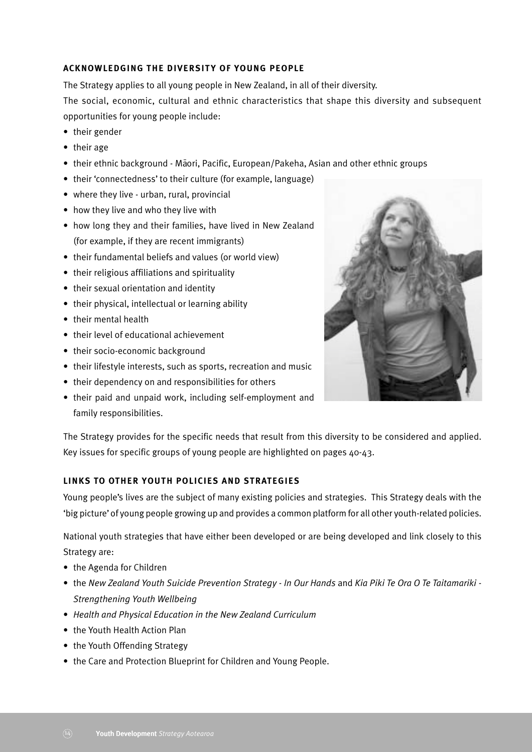## **ACKNOWLEDGING THE DIVERSITY OF YOUNG PEOPLE**

The Strategy applies to all young people in New Zealand, in all of their diversity.

The social, economic, cultural and ethnic characteristics that shape this diversity and subsequent opportunities for young people include:

- their gender
- their age
- their ethnic background Māori, Pacific, European/Pakeha, Asian and other ethnic groups
- their 'connectedness' to their culture (for example, language)
- where they live urban, rural, provincial
- how they live and who they live with
- how long they and their families, have lived in New Zealand (for example, if they are recent immigrants)
- their fundamental beliefs and values (or world view)
- their religious affiliations and spirituality
- their sexual orientation and identity
- their physical, intellectual or learning ability
- their mental health
- their level of educational achievement
- their socio-economic background
- their lifestyle interests, such as sports, recreation and music
- their dependency on and responsibilities for others
- their paid and unpaid work, including self-employment and family responsibilities.



The Strategy provides for the specific needs that result from this diversity to be considered and applied. Key issues for specific groups of young people are highlighted on pages 40-43.

#### **LINKS TO OTHER YOUTH POLICIES AND STRATEGIES**

Young people's lives are the subject of many existing policies and strategies. This Strategy deals with the 'big picture' of young people growing up and provides a common platform for all other youth-related policies.

National youth strategies that have either been developed or are being developed and link closely to this Strategy are:

- the Agenda for Children
- the *New Zealand Youth Suicide Prevention Strategy In Our Hands* and *Kia Piki Te Ora O Te Taitamariki - Strengthening Youth Wellbeing*
- *Health and Physical Education in the New Zealand Curriculum*
- the Youth Health Action Plan
- the Youth Offending Strategy
- the Care and Protection Blueprint for Children and Young People.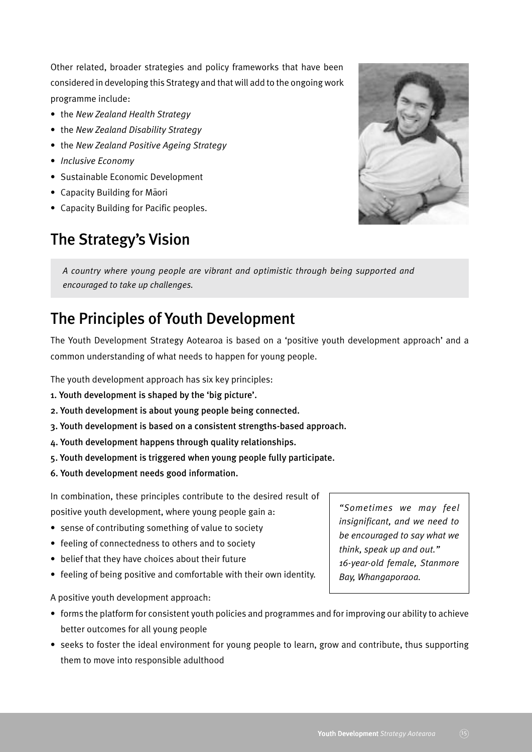Other related, broader strategies and policy frameworks that have been considered in developing this Strategy and that will add to the ongoing work programme include:

- the *New Zealand Health Strategy*
- the *New Zealand Disability Strategy*
- the *New Zealand Positive Ageing Strategy*
- *Inclusive Economy*
- Sustainable Economic Development
- Capacity Building for Maori
- Capacity Building for Pacific peoples.

# The Strategy's Vision



*A country where young people are vibrant and optimistic through being supported and encouraged to take up challenges.*

# The Principles of Youth Development

The Youth Development Strategy Aotearoa is based on a 'positive youth development approach' and a common understanding of what needs to happen for young people.

The youth development approach has six key principles:

- 1. Youth development is shaped by the 'big picture'.
- 2. Youth development is about young people being connected.
- 3. Youth development is based on a consistent strengths-based approach.
- 4. Youth development happens through quality relationships.
- 5. Youth development is triggered when young people fully participate.
- 6. Youth development needs good information.

In combination, these principles contribute to the desired result of positive youth development, where young people gain a:

- sense of contributing something of value to society
- feeling of connectedness to others and to society
- belief that they have choices about their future
- feeling of being positive and comfortable with their own identity.

A positive youth development approach:

- forms the platform for consistent youth policies and programmes and for improving our ability to achieve better outcomes for all young people
- seeks to foster the ideal environment for young people to learn, grow and contribute, thus supporting them to move into responsible adulthood

*"Sometimes we may feel insignificant, and we need to be encouraged to say what we think, speak up and out." 16-year-old female, Stanmore Bay, Whangaporaoa.*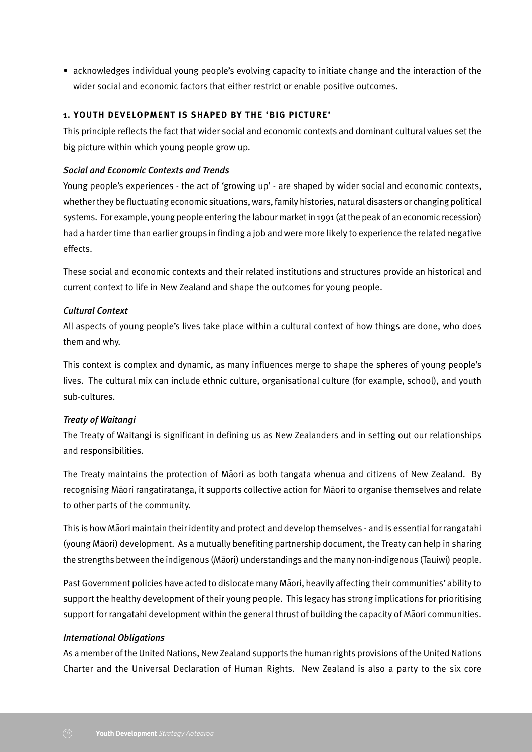• acknowledges individual young people's evolving capacity to initiate change and the interaction of the wider social and economic factors that either restrict or enable positive outcomes.

#### **1. YOUTH DEVELOPMENT IS SHAPED BY THE 'BIG PICTURE'**

This principle reflects the fact that wider social and economic contexts and dominant cultural values set the big picture within which young people grow up.

### *Social and Economic Contexts and Trends*

Young people's experiences - the act of 'growing up' - are shaped by wider social and economic contexts, whether they be fluctuating economic situations, wars, family histories, natural disasters or changing political systems. For example, young people entering the labour market in 1991 (at the peak of an economic recession) had a harder time than earlier groups in finding a job and were more likely to experience the related negative effects.

These social and economic contexts and their related institutions and structures provide an historical and current context to life in New Zealand and shape the outcomes for young people.

# *Cultural Context*

All aspects of young people's lives take place within a cultural context of how things are done, who does them and why.

This context is complex and dynamic, as many influences merge to shape the spheres of young people's lives. The cultural mix can include ethnic culture, organisational culture (for example, school), and youth sub-cultures.

# *Treaty of Waitangi*

The Treaty of Waitangi is significant in defining us as New Zealanders and in setting out our relationships and responsibilities.

The Treaty maintains the protection of Maori as both tangata whenua and citizens of New Zealand. By recognising Maori rangatiratanga, it supports collective action for Maori to organise themselves and relate to other parts of the community.

This is how Maori maintain their identity and protect and develop themselves - and is essential for rangatahi (young Māori) development. As a mutually benefiting partnership document, the Treaty can help in sharing the strengths between the indigenous (Māori) understandings and the many non-indigenous (Tauiwi) people.

Past Government policies have acted to dislocate many Maori, heavily affecting their communities' ability to support the healthy development of their young people. This legacy has strong implications for prioritising support for rangatahi development within the general thrust of building the capacity of Maori communities.

#### *International Obligations*

As a member of the United Nations, New Zealand supports the human rights provisions of the United Nations Charter and the Universal Declaration of Human Rights. New Zealand is also a party to the six core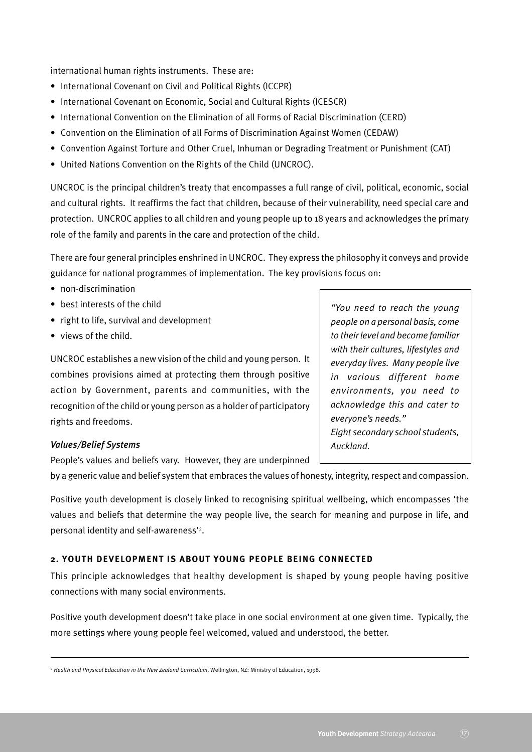international human rights instruments. These are:

- International Covenant on Civil and Political Rights (ICCPR)
- International Covenant on Economic, Social and Cultural Rights (ICESCR)
- International Convention on the Elimination of all Forms of Racial Discrimination (CERD)
- Convention on the Elimination of all Forms of Discrimination Against Women (CEDAW)
- Convention Against Torture and Other Cruel, Inhuman or Degrading Treatment or Punishment (CAT)
- United Nations Convention on the Rights of the Child (UNCROC).

UNCROC is the principal children's treaty that encompasses a full range of civil, political, economic, social and cultural rights. It reaffirms the fact that children, because of their vulnerability, need special care and protection. UNCROC applies to all children and young people up to 18 years and acknowledges the primary role of the family and parents in the care and protection of the child.

There are four general principles enshrined in UNCROC. They express the philosophy it conveys and provide guidance for national programmes of implementation. The key provisions focus on:

- non-discrimination
- best interests of the child
- right to life, survival and development
- views of the child.

UNCROC establishes a new vision of the child and young person. It combines provisions aimed at protecting them through positive action by Government, parents and communities, with the recognition of the child or young person as a holder of participatory rights and freedoms.

# *"You need to reach the young people on a personal basis, come to their level and become familiar with their cultures, lifestyles and everyday lives. Many people live in various different home environments, you need to acknowledge this and cater to everyone's needs." Eight secondary school students, Auckland.*

#### *Values/Belief Systems*

People's values and beliefs vary. However, they are underpinned

by a generic value and belief system that embraces the values of honesty, integrity, respect and compassion.

Positive youth development is closely linked to recognising spiritual wellbeing, which encompasses 'the values and beliefs that determine the way people live, the search for meaning and purpose in life, and personal identity and self-awareness'<sup>2</sup>.

#### **2. YOUTH DEVELOPMENT IS ABOUT YOUNG PEOPLE BEING CONNECTED**

This principle acknowledges that healthy development is shaped by young people having positive connections with many social environments.

Positive youth development doesn't take place in one social environment at one given time. Typically, the more settings where young people feel welcomed, valued and understood, the better.

<sup>2</sup> *Health and Physical Education in the New Zealand Curriculum*. Wellington, NZ: Ministry of Education, 1998.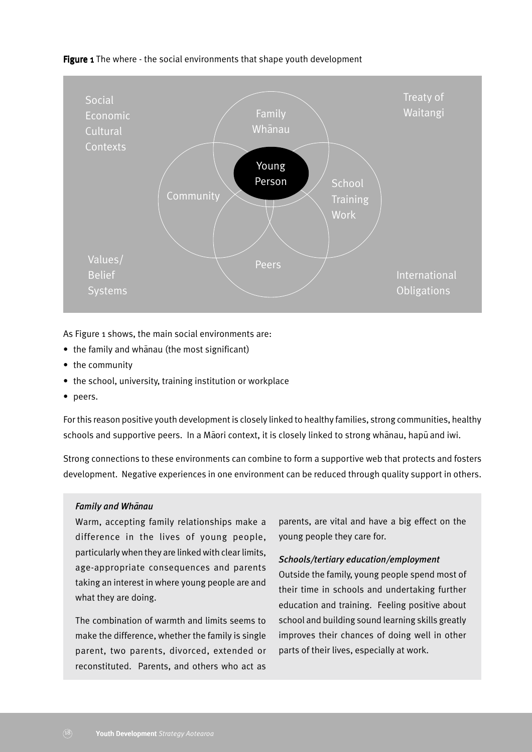Figure 1 The where - the social environments that shape youth development



As Figure 1 shows, the main social environments are:

- the family and whanau (the most significant)
- the community
- the school, university, training institution or workplace
- peers.

For this reason positive youth development is closely linked to healthy families, strong communities, healthy schools and supportive peers. In a Māori context, it is closely linked to strong whānau, hapū and iwi.

Strong connections to these environments can combine to form a supportive web that protects and fosters development. Negative experiences in one environment can be reduced through quality support in others.

#### *Family and Whanau*

Warm, accepting family relationships make a difference in the lives of young people, particularly when they are linked with clear limits, age-appropriate consequences and parents taking an interest in where young people are and what they are doing.

The combination of warmth and limits seems to make the difference, whether the family is single parent, two parents, divorced, extended or reconstituted. Parents, and others who act as

parents, are vital and have a big effect on the young people they care for.

#### *Schools/tertiary education/employment*

Outside the family, young people spend most of their time in schools and undertaking further education and training. Feeling positive about school and building sound learning skills greatly improves their chances of doing well in other parts of their lives, especially at work.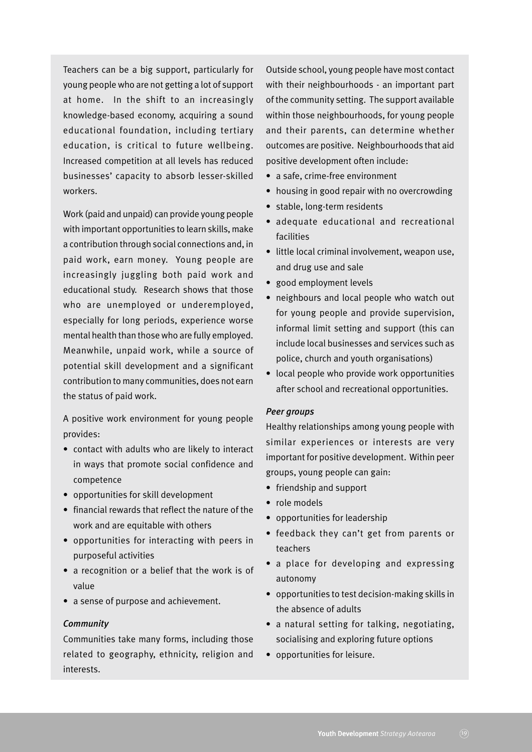Teachers can be a big support, particularly for young people who are not getting a lot of support at home. In the shift to an increasingly knowledge-based economy, acquiring a sound educational foundation, including tertiary education, is critical to future wellbeing. Increased competition at all levels has reduced businesses' capacity to absorb lesser-skilled workers.

Work (paid and unpaid) can provide young people with important opportunities to learn skills, make a contribution through social connections and, in paid work, earn money. Young people are increasingly juggling both paid work and educational study. Research shows that those who are unemployed or underemployed, especially for long periods, experience worse mental health than those who are fully employed. Meanwhile, unpaid work, while a source of potential skill development and a significant contribution to many communities, does not earn the status of paid work.

A positive work environment for young people provides:

- contact with adults who are likely to interact in ways that promote social confidence and competence
- opportunities for skill development
- financial rewards that reflect the nature of the work and are equitable with others
- opportunities for interacting with peers in purposeful activities
- a recognition or a belief that the work is of value
- a sense of purpose and achievement.

#### *Community*

Communities take many forms, including those related to geography, ethnicity, religion and interests.

Outside school, young people have most contact with their neighbourhoods - an important part of the community setting. The support available within those neighbourhoods, for young people and their parents, can determine whether outcomes are positive. Neighbourhoods that aid positive development often include:

- a safe, crime-free environment
- housing in good repair with no overcrowding
- stable, long-term residents
- adequate educational and recreational facilities
- little local criminal involvement, weapon use, and drug use and sale
- good employment levels
- neighbours and local people who watch out for young people and provide supervision, informal limit setting and support (this can include local businesses and services such as police, church and youth organisations)
- local people who provide work opportunities after school and recreational opportunities.

#### *Peer groups*

Healthy relationships among young people with similar experiences or interests are very important for positive development. Within peer groups, young people can gain:

- friendship and support
- role models
- opportunities for leadership
- feedback they can't get from parents or teachers
- a place for developing and expressing autonomy
- opportunities to test decision-making skills in the absence of adults
- a natural setting for talking, negotiating, socialising and exploring future options
- opportunities for leisure.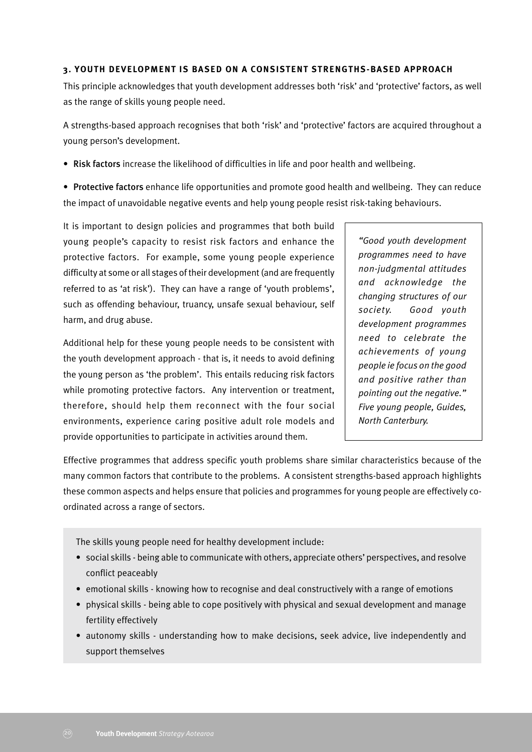#### **3. YOUTH DEVELOPMENT IS BASED ON A CONSISTENT STRENGTHS-BASED APPROACH**

This principle acknowledges that youth development addresses both 'risk' and 'protective' factors, as well as the range of skills young people need.

A strengths-based approach recognises that both 'risk' and 'protective' factors are acquired throughout a young person's development.

• Risk factors increase the likelihood of difficulties in life and poor health and wellbeing.

• Protective factors enhance life opportunities and promote good health and wellbeing. They can reduce the impact of unavoidable negative events and help young people resist risk-taking behaviours.

It is important to design policies and programmes that both build young people's capacity to resist risk factors and enhance the protective factors. For example, some young people experience difficulty at some or all stages of their development (and are frequently referred to as 'at risk'). They can have a range of 'youth problems', such as offending behaviour, truancy, unsafe sexual behaviour, self harm, and drug abuse.

Additional help for these young people needs to be consistent with the youth development approach - that is, it needs to avoid defining the young person as 'the problem'. This entails reducing risk factors while promoting protective factors. Any intervention or treatment, therefore, should help them reconnect with the four social environments, experience caring positive adult role models and provide opportunities to participate in activities around them.

*"Good youth development programmes need to have non-judgmental attitudes and acknowledge the changing structures of our society. Good youth development programmes need to celebrate the achievements of young people ie focus on the good and positive rather than pointing out the negative." Five young people, Guides, North Canterbury.*

Effective programmes that address specific youth problems share similar characteristics because of the many common factors that contribute to the problems. A consistent strengths-based approach highlights these common aspects and helps ensure that policies and programmes for young people are effectively coordinated across a range of sectors.

The skills young people need for healthy development include:

- social skills being able to communicate with others, appreciate others' perspectives, and resolve conflict peaceably
- emotional skills knowing how to recognise and deal constructively with a range of emotions
- physical skills being able to cope positively with physical and sexual development and manage fertility effectively
- autonomy skills understanding how to make decisions, seek advice, live independently and support themselves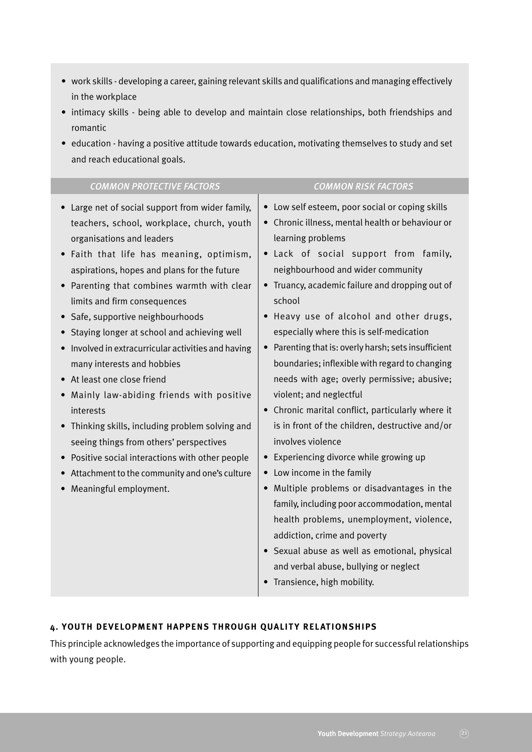- work skills developing a career, gaining relevant skills and qualifications and managing effectively in the workplace
- intimacy skills being able to develop and maintain close relationships, both friendships and romantic
- education having a positive attitude towards education, motivating themselves to study and set and reach educational goals.

| <b>COMMON PROTECTIVE FACTORS</b>                                                                                                                                                                                                                                                                                                                                                                                                                                                                                                                                                                                                                                                                                                                                                     | <b>COMMON RISK FACTORS</b>                                                                                                                                                                                                                                                                                                                                                                                                                                                                                                                                                                                                                                                                                                                                                                                                                                                                                                                                                                                                                        |
|--------------------------------------------------------------------------------------------------------------------------------------------------------------------------------------------------------------------------------------------------------------------------------------------------------------------------------------------------------------------------------------------------------------------------------------------------------------------------------------------------------------------------------------------------------------------------------------------------------------------------------------------------------------------------------------------------------------------------------------------------------------------------------------|---------------------------------------------------------------------------------------------------------------------------------------------------------------------------------------------------------------------------------------------------------------------------------------------------------------------------------------------------------------------------------------------------------------------------------------------------------------------------------------------------------------------------------------------------------------------------------------------------------------------------------------------------------------------------------------------------------------------------------------------------------------------------------------------------------------------------------------------------------------------------------------------------------------------------------------------------------------------------------------------------------------------------------------------------|
| Large net of social support from wider family,<br>teachers, school, workplace, church, youth<br>organisations and leaders<br>Faith that life has meaning, optimism,<br>aspirations, hopes and plans for the future<br>Parenting that combines warmth with clear<br>limits and firm consequences<br>Safe, supportive neighbourhoods<br>Staying longer at school and achieving well<br>Involved in extracurricular activities and having<br>many interests and hobbies<br>At least one close friend<br>Mainly law-abiding friends with positive<br>interests<br>Thinking skills, including problem solving and<br>seeing things from others' perspectives<br>Positive social interactions with other people<br>Attachment to the community and one's culture<br>Meaningful employment. | • Low self esteem, poor social or coping skills<br>• Chronic illness, mental health or behaviour or<br>learning problems<br>· Lack of social support from family,<br>neighbourhood and wider community<br>• Truancy, academic failure and dropping out of<br>school<br>Heavy use of alcohol and other drugs,<br>especially where this is self-medication<br>• Parenting that is: overly harsh; sets insufficient<br>boundaries; inflexible with regard to changing<br>needs with age; overly permissive; abusive;<br>violent; and neglectful<br>• Chronic marital conflict, particularly where it<br>is in front of the children, destructive and/or<br>involves violence<br>Experiencing divorce while growing up<br>• Low income in the family<br>• Multiple problems or disadvantages in the<br>family, including poor accommodation, mental<br>health problems, unemployment, violence,<br>addiction, crime and poverty<br>Sexual abuse as well as emotional, physical<br>and verbal abuse, bullying or neglect<br>Transience, high mobility. |
|                                                                                                                                                                                                                                                                                                                                                                                                                                                                                                                                                                                                                                                                                                                                                                                      |                                                                                                                                                                                                                                                                                                                                                                                                                                                                                                                                                                                                                                                                                                                                                                                                                                                                                                                                                                                                                                                   |

### **4. YOUTH DEVELOPMENT HAPPENS THROUGH QUALITY RELATIONSHIPS**

This principle acknowledges the importance of supporting and equipping people for successful relationships with young people.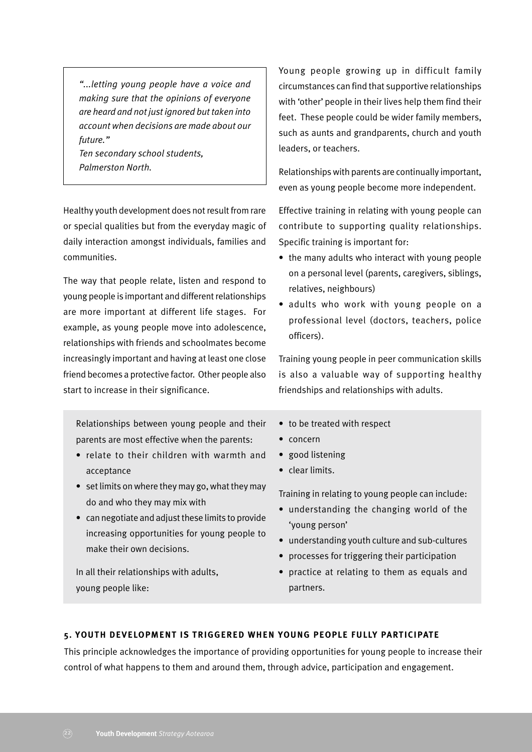*"...letting young people have a voice and making sure that the opinions of everyone are heard and not just ignored but taken into account when decisions are made about our future."*

*Ten secondary school students, Palmerston North.*

Healthy youth development does not result from rare or special qualities but from the everyday magic of daily interaction amongst individuals, families and communities.

The way that people relate, listen and respond to young people is important and different relationships are more important at different life stages. For example, as young people move into adolescence, relationships with friends and schoolmates become increasingly important and having at least one close friend becomes a protective factor. Other people also start to increase in their significance.

Relationships between young people and their parents are most effective when the parents:

- relate to their children with warmth and acceptance
- set limits on where they may go, what they may do and who they may mix with
- can negotiate and adjust these limits to provide increasing opportunities for young people to make their own decisions.

In all their relationships with adults, young people like:

Young people growing up in difficult family circumstances can find that supportive relationships with 'other' people in their lives help them find their feet. These people could be wider family members, such as aunts and grandparents, church and youth leaders, or teachers.

Relationships with parents are continually important, even as young people become more independent.

Effective training in relating with young people can contribute to supporting quality relationships. Specific training is important for:

- the many adults who interact with young people on a personal level (parents, caregivers, siblings, relatives, neighbours)
- adults who work with young people on a professional level (doctors, teachers, police officers).

Training young people in peer communication skills is also a valuable way of supporting healthy friendships and relationships with adults.

- to be treated with respect
- concern
- good listening
- clear limits.

Training in relating to young people can include:

- understanding the changing world of the 'young person'
- understanding youth culture and sub-cultures
- processes for triggering their participation
- practice at relating to them as equals and partners.

# **5. YOUTH DEVELOPMENT IS TRIGGERED WHEN YOUNG PEOPLE FULLY PARTICIPATE**

This principle acknowledges the importance of providing opportunities for young people to increase their control of what happens to them and around them, through advice, participation and engagement.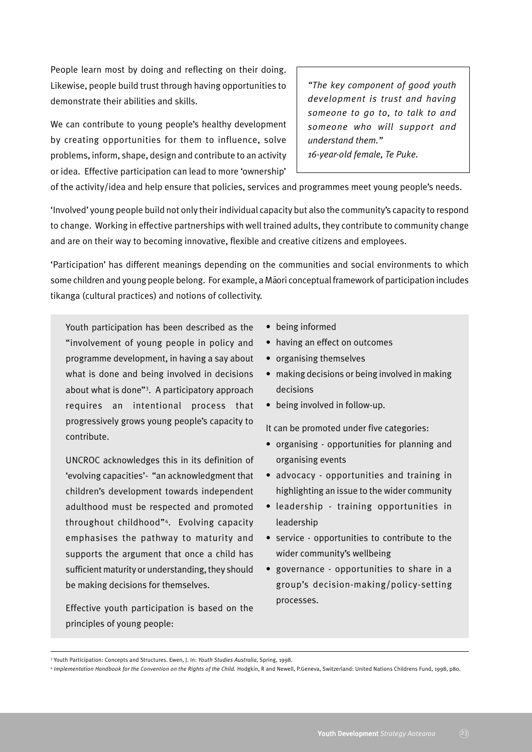People learn most by doing and reflecting on their doing. Likewise, people build trust through having opportunities to demonstrate their abilities and skills.

We can contribute to young people's healthy development by creating opportunities for them to influence, solve problems, inform, shape, design and contribute to an activity or idea. Effective participation can lead to more 'ownership'

*"The key component of good youth development is trust and having someone to go to, to talk to and someone who will support and understand them." 16-year-old female, Te Puke.*

of the activity/idea and help ensure that policies, services and programmes meet young people's needs.

'Involved' young people build not only their individual capacity but also the community's capacity to respond to change. Working in effective partnerships with well trained adults, they contribute to community change and are on their way to becoming innovative, flexible and creative citizens and employees.

'Participation' has different meanings depending on the communities and social environments to which some children and young people belong. For example, a Maori conceptual framework of participation includes tikanga (cultural practices) and notions of collectivity.

Youth participation has been described as the "involvement of young people in policy and programme development, in having a say about what is done and being involved in decisions about what is done"3 . A participatory approach requires an intentional process that progressively grows young people's capacity to contribute.

UNCROC acknowledges this in its definition of 'evolving capacities'- "an acknowledgment that children's development towards independent adulthood must be respected and promoted throughout childhood"4 . Evolving capacity emphasises the pathway to maturity and supports the argument that once a child has sufficient maturity or understanding, they should be making decisions for themselves.

Effective youth participation is based on the principles of young people:

- being informed
- having an effect on outcomes
- organising themselves
- making decisions or being involved in making decisions
- being involved in follow-up.

It can be promoted under five categories:

- organising opportunities for planning and organising events
- advocacy opportunities and training in highlighting an issue to the wider community
- leadership training opportunities in leadership
- service opportunities to contribute to the wider community's wellbeing
- governance opportunities to share in a group's decision-making/policy-setting processes.

<sup>3</sup> Youth Participation: Concepts and Structures. Ewen, J. In: *Youth Studies Australia*, Spring, 1998.

<sup>&</sup>lt;sup>4</sup> Implementation Handbook for the Convention on the Rights of the Child. Hodgkin, R and Newell, P.Geneva, Switzerland: United Nations Childrens Fund, 1998, p80.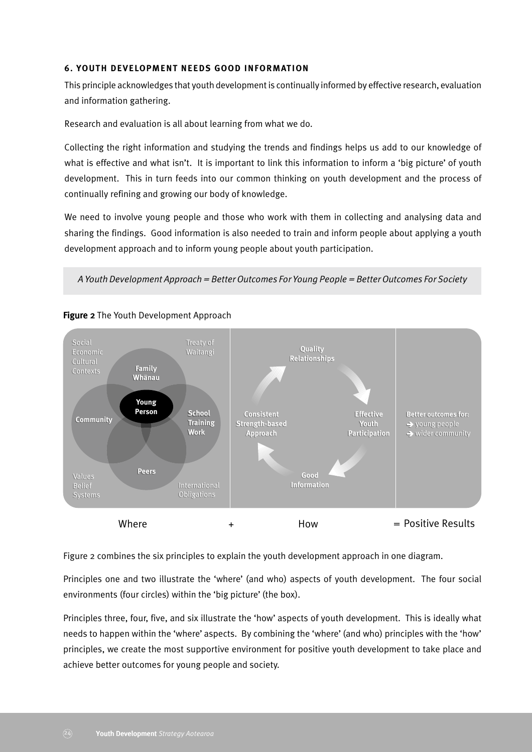#### **6. YOUTH DEVELOPMENT NEEDS GOOD INFORMATION**

This principle acknowledges that youth development is continually informed by effective research, evaluation and information gathering.

Research and evaluation is all about learning from what we do.

Collecting the right information and studying the trends and findings helps us add to our knowledge of what is effective and what isn't. It is important to link this information to inform a 'big picture' of youth development. This in turn feeds into our common thinking on youth development and the process of continually refining and growing our body of knowledge.

We need to involve young people and those who work with them in collecting and analysing data and sharing the findings. Good information is also needed to train and inform people about applying a youth development approach and to inform young people about youth participation.

*A Youth Development Approach = Better Outcomes For Young People = Better Outcomes For Society*



## Figure 2 The Youth Development Approach

Figure 2 combines the six principles to explain the youth development approach in one diagram.

Principles one and two illustrate the 'where' (and who) aspects of youth development. The four social environments (four circles) within the 'big picture' (the box).

Principles three, four, five, and six illustrate the 'how' aspects of youth development. This is ideally what needs to happen within the 'where' aspects. By combining the 'where' (and who) principles with the 'how' principles, we create the most supportive environment for positive youth development to take place and achieve better outcomes for young people and society.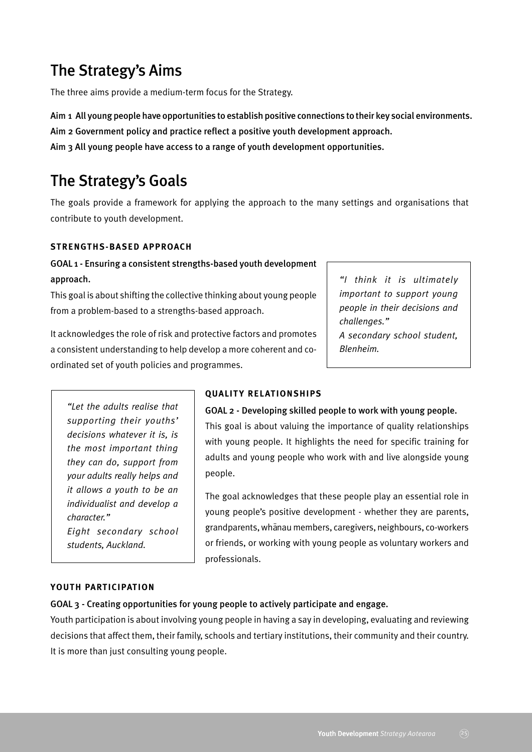# The Strategy's Aims

The three aims provide a medium-term focus for the Strategy.

Aim 1 All young people have opportunities to establish positive connections to their key social environments.

Aim 2 Government policy and practice reflect a positive youth development approach.

Aim 3 All young people have access to a range of youth development opportunities.

# The Strategy's Goals

The goals provide a framework for applying the approach to the many settings and organisations that contribute to youth development.

#### **STRENGTHS-BASED APPROACH**

# GOAL 1 - Ensuring a consistent strengths-based youth development approach.

This goal is about shifting the collective thinking about young people from a problem-based to a strengths-based approach.

It acknowledges the role of risk and protective factors and promotes a consistent understanding to help develop a more coherent and coordinated set of youth policies and programmes.

*"I think it is ultimately important to support young people in their decisions and challenges." A secondary school student, Blenheim.*

*"Let the adults realise that supporting their youths' decisions whatever it is, is the most important thing they can do, support from your adults really helps and it allows a youth to be an individualist and develop a character." Eight secondary school students, Auckland.*

# **QUALITY RELATIONSHIPS**

#### GOAL 2 - Developing skilled people to work with young people.

This goal is about valuing the importance of quality relationships with young people. It highlights the need for specific training for adults and young people who work with and live alongside young people.

The goal acknowledges that these people play an essential role in young people's positive development - whether they are parents, grandparents, whānau members, caregivers, neighbours, co-workers or friends, or working with young people as voluntary workers and professionals.

#### **YOUTH PARTICIPATION**

#### GOAL 3 - Creating opportunities for young people to actively participate and engage.

Youth participation is about involving young people in having a say in developing, evaluating and reviewing decisions that affect them, their family, schools and tertiary institutions, their community and their country. It is more than just consulting young people.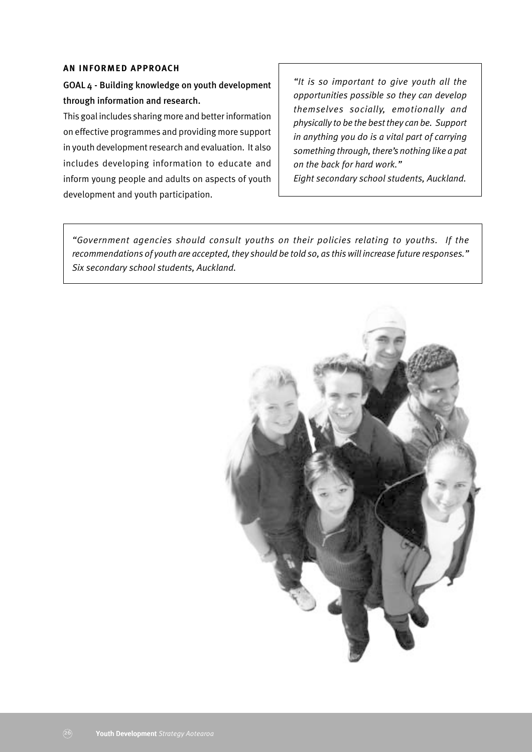#### **AN INFORMED APPROACH**

GOAL 4 - Building knowledge on youth development through information and research.

This goal includes sharing more and better information on effective programmes and providing more support in youth development research and evaluation. It also includes developing information to educate and inform young people and adults on aspects of youth development and youth participation.

*"It is so important to give youth all the opportunities possible so they can develop themselves socially, emotionally and physically to be the best they can be. Support in anything you do is a vital part of carrying something through, there's nothing like a pat on the back for hard work."*

*Eight secondary school students, Auckland.*

*"Government agencies should consult youths on their policies relating to youths. If the recommendations of youth are accepted, they should be told so, as this will increase future responses." Six secondary school students, Auckland.*

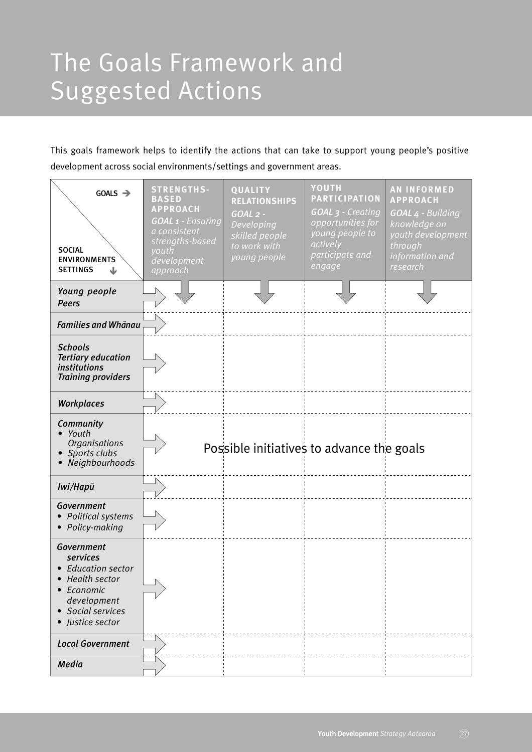# The Goals Framework and Suggested Actions

This goals framework helps to identify the actions that can take to support young people's positive development across social environments/settings and government areas.

| $GOALS \rightarrow$<br><b>SOCIAL</b><br><b>ENVIRONMENTS</b><br><b>SETTINGS</b><br>业                                                | <b>STRENGTHS-</b><br><b>BASED</b><br><b>APPROACH</b><br>GOAL 1 - Ensuring<br>a consistent<br>strengths-based<br>youth<br>development<br>approach | QUALITY<br><b>RELATIONSHIPS</b><br>$GOAL$ 2 -<br>Developing<br>skilled people<br>to work with<br>young people | YOUTH<br><b>PARTICIPATION</b><br>GOAL 3 - Creating<br>opportunities for<br>young people to<br>actively<br>participate and<br>engage | <b>AN INFORMED</b><br><b>APPROACH</b><br>GOAL 4 - Building<br>knowledge on<br>youth development<br>through<br>information and<br>research |
|------------------------------------------------------------------------------------------------------------------------------------|--------------------------------------------------------------------------------------------------------------------------------------------------|---------------------------------------------------------------------------------------------------------------|-------------------------------------------------------------------------------------------------------------------------------------|-------------------------------------------------------------------------------------------------------------------------------------------|
| Young people<br><b>Peers</b>                                                                                                       |                                                                                                                                                  |                                                                                                               |                                                                                                                                     |                                                                                                                                           |
| <b>Families and Whanau</b>                                                                                                         |                                                                                                                                                  |                                                                                                               |                                                                                                                                     |                                                                                                                                           |
| <b>Schools</b><br><b>Tertiary education</b><br><i>institutions</i><br><b>Training providers</b>                                    |                                                                                                                                                  |                                                                                                               |                                                                                                                                     |                                                                                                                                           |
| <b>Workplaces</b>                                                                                                                  |                                                                                                                                                  |                                                                                                               |                                                                                                                                     |                                                                                                                                           |
| Community<br>• Youth<br><b>Organisations</b><br>• Sports clubs<br>Neighbourhoods                                                   |                                                                                                                                                  | Possible initiatives to advance the goals                                                                     |                                                                                                                                     |                                                                                                                                           |
| Iwi/Hapū                                                                                                                           |                                                                                                                                                  |                                                                                                               |                                                                                                                                     |                                                                                                                                           |
| Government<br>Political systems<br>Policy-making                                                                                   |                                                                                                                                                  |                                                                                                               |                                                                                                                                     |                                                                                                                                           |
| Government<br>services<br><b>Education sector</b><br>Health sector<br>Economic<br>development<br>Social services<br>Justice sector |                                                                                                                                                  |                                                                                                               |                                                                                                                                     |                                                                                                                                           |
| <b>Local Government</b>                                                                                                            |                                                                                                                                                  |                                                                                                               |                                                                                                                                     |                                                                                                                                           |
| <b>Media</b>                                                                                                                       |                                                                                                                                                  |                                                                                                               |                                                                                                                                     |                                                                                                                                           |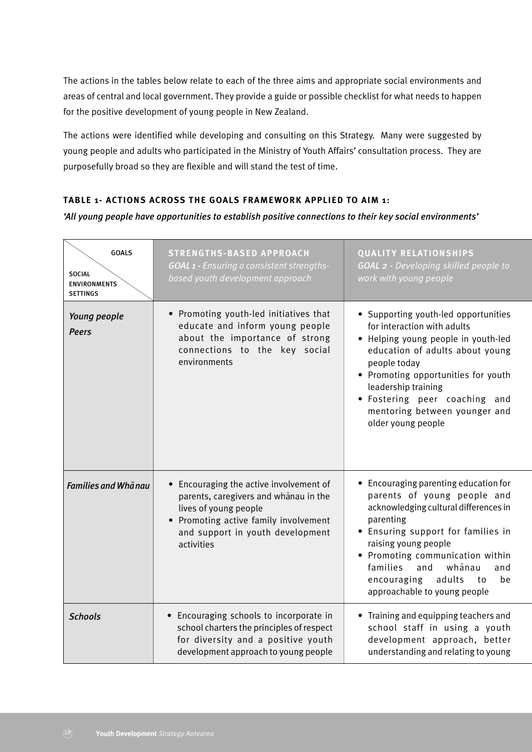The actions in the tables below relate to each of the three aims and appropriate social environments and areas of central and local government. They provide a guide or possible checklist for what needs to happen for the positive development of young people in New Zealand.

The actions were identified while developing and consulting on this Strategy. Many were suggested by young people and adults who participated in the Ministry of Youth Affairs' consultation process. They are purposefully broad so they are flexible and will stand the test of time.

## **TABLE 1- ACTIONS ACROSS THE GOALS FRAMEWORK APPLIED TO AIM 1:**

*'All young people have opportunities to establish positive connections to their key social environments'*

| <b>GOALS</b><br><b>SOCIAL</b><br><b>ENVIRONMENTS</b><br><b>SETTINGS</b> | <b>STRENGTHS-BASED APPROACH</b><br><b>GOAL 1 - Ensuring a consistent strengths-</b><br>based youth development approach                                                                                         | <b>QUALITY RELATIONSHIPS</b><br><b>GOAL 2 - Developing skilled people to</b><br>work with young people                                                                                                                                                                                                                                |
|-------------------------------------------------------------------------|-----------------------------------------------------------------------------------------------------------------------------------------------------------------------------------------------------------------|---------------------------------------------------------------------------------------------------------------------------------------------------------------------------------------------------------------------------------------------------------------------------------------------------------------------------------------|
| Young people<br><b>Peers</b>                                            | • Promoting youth-led initiatives that<br>educate and inform young people<br>about the importance of strong<br>connections to the key social<br>environments                                                    | • Supporting youth-led opportunities<br>for interaction with adults<br>• Helping young people in youth-led<br>education of adults about young<br>people today<br>• Promoting opportunities for youth<br>leadership training<br>· Fostering peer coaching and<br>mentoring between younger and<br>older young people                   |
| <b>Families and Whanau</b>                                              | Encouraging the active involvement of<br>$\bullet$<br>parents, caregivers and whanau in the<br>lives of young people<br>• Promoting active family involvement<br>and support in youth development<br>activities | • Encouraging parenting education for<br>parents of young people and<br>acknowledging cultural differences in<br>parenting<br>• Ensuring support for families in<br>raising young people<br>• Promoting communication within<br>families<br>and<br>whānau<br>and<br>adults<br>encouraging<br>be<br>to<br>approachable to young people |
| <b>Schools</b>                                                          | • Encouraging schools to incorporate in<br>school charters the principles of respect<br>for diversity and a positive youth<br>development approach to young people                                              | • Training and equipping teachers and<br>school staff in using a youth<br>development approach, better<br>understanding and relating to young                                                                                                                                                                                         |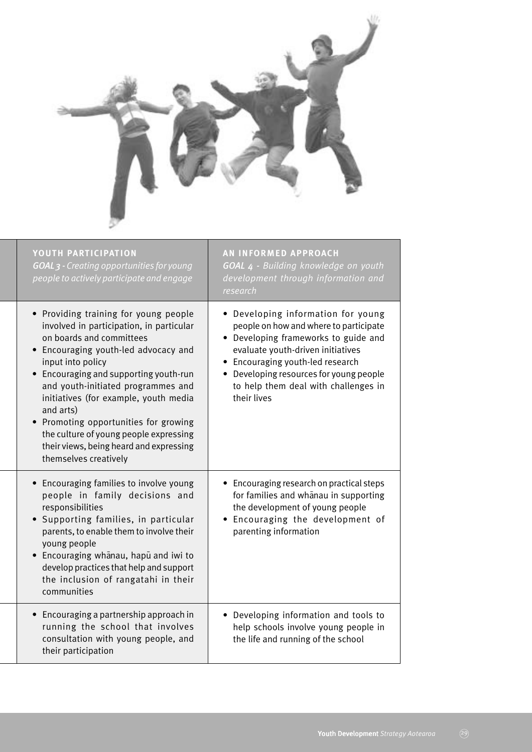

| YOUTH PARTICIPATION<br>GOAL 3 - Creating opportunities for young<br>people to actively participate and engage                                                                                                                                                                                                                                                                                                                                                                    | <b>AN INFORMED APPROACH</b><br>GOAL 4 - Building knowledge on youth<br>development through information and<br>research                                                                                                                                                                          |
|----------------------------------------------------------------------------------------------------------------------------------------------------------------------------------------------------------------------------------------------------------------------------------------------------------------------------------------------------------------------------------------------------------------------------------------------------------------------------------|-------------------------------------------------------------------------------------------------------------------------------------------------------------------------------------------------------------------------------------------------------------------------------------------------|
| • Providing training for young people<br>involved in participation, in particular<br>on boards and committees<br>• Encouraging youth-led advocacy and<br>input into policy<br>Encouraging and supporting youth-run<br>and youth-initiated programmes and<br>initiatives (for example, youth media<br>and arts)<br>Promoting opportunities for growing<br>$\bullet$<br>the culture of young people expressing<br>their views, being heard and expressing<br>themselves creatively | • Developing information for young<br>people on how and where to participate<br>• Developing frameworks to guide and<br>evaluate youth-driven initiatives<br>• Encouraging youth-led research<br>• Developing resources for young people<br>to help them deal with challenges in<br>their lives |
| Encouraging families to involve young<br>people in family decisions and<br>responsibilities<br>Supporting families, in particular<br>parents, to enable them to involve their<br>young people<br>Encouraging whanau, hapu and iwi to<br>$\bullet$<br>develop practices that help and support<br>the inclusion of rangatahi in their<br>communities                                                                                                                               | • Encouraging research on practical steps<br>for families and whanau in supporting<br>the development of young people<br>Encouraging the development of<br>parenting information                                                                                                                |
| Encouraging a partnership approach in<br>running the school that involves<br>consultation with young people, and<br>their participation                                                                                                                                                                                                                                                                                                                                          | • Developing information and tools to<br>help schools involve young people in<br>the life and running of the school                                                                                                                                                                             |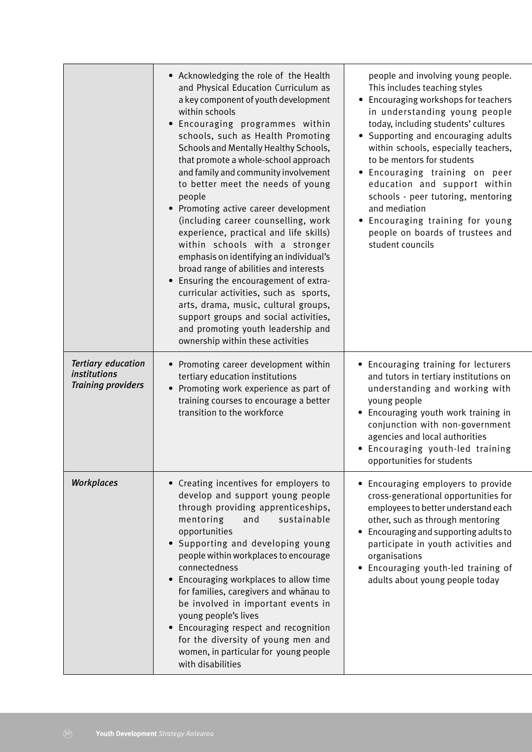|                                                                               | • Acknowledging the role of the Health<br>and Physical Education Curriculum as<br>a key component of youth development<br>within schools<br>Encouraging programmes within<br>$\bullet$<br>schools, such as Health Promoting<br>Schools and Mentally Healthy Schools,<br>that promote a whole-school approach<br>and family and community involvement<br>to better meet the needs of young<br>people<br>Promoting active career development<br>$\bullet$<br>(including career counselling, work<br>experience, practical and life skills)<br>within schools with a stronger<br>emphasis on identifying an individual's<br>broad range of abilities and interests<br>Ensuring the encouragement of extra-<br>$\bullet$<br>curricular activities, such as sports,<br>arts, drama, music, cultural groups,<br>support groups and social activities,<br>and promoting youth leadership and<br>ownership within these activities | people and involving young people.<br>This includes teaching styles<br>Encouraging workshops for teachers<br>in understanding young people<br>today, including students' cultures<br>Supporting and encouraging adults<br>$\bullet$<br>within schools, especially teachers,<br>to be mentors for students<br>· Encouraging training on peer<br>education and support within<br>schools - peer tutoring, mentoring<br>and mediation<br>Encouraging training for young<br>$\bullet$<br>people on boards of trustees and<br>student councils |
|-------------------------------------------------------------------------------|----------------------------------------------------------------------------------------------------------------------------------------------------------------------------------------------------------------------------------------------------------------------------------------------------------------------------------------------------------------------------------------------------------------------------------------------------------------------------------------------------------------------------------------------------------------------------------------------------------------------------------------------------------------------------------------------------------------------------------------------------------------------------------------------------------------------------------------------------------------------------------------------------------------------------|-------------------------------------------------------------------------------------------------------------------------------------------------------------------------------------------------------------------------------------------------------------------------------------------------------------------------------------------------------------------------------------------------------------------------------------------------------------------------------------------------------------------------------------------|
| <b>Tertiary education</b><br><i>institutions</i><br><b>Training providers</b> | • Promoting career development within<br>tertiary education institutions<br>Promoting work experience as part of<br>training courses to encourage a better<br>transition to the workforce                                                                                                                                                                                                                                                                                                                                                                                                                                                                                                                                                                                                                                                                                                                                  | • Encouraging training for lecturers<br>and tutors in tertiary institutions on<br>understanding and working with<br>young people<br>• Encouraging youth work training in<br>conjunction with non-government<br>agencies and local authorities<br>Encouraging youth-led training<br>opportunities for students                                                                                                                                                                                                                             |
| <b>Workplaces</b>                                                             | • Creating incentives for employers to<br>develop and support young people<br>through providing apprenticeships,<br>mentoring<br>and<br>sustainable<br>opportunities<br>• Supporting and developing young<br>people within workplaces to encourage<br>connectedness<br>• Encouraging workplaces to allow time<br>for families, caregivers and whanau to<br>be involved in important events in<br>young people's lives<br>Encouraging respect and recognition<br>$\bullet$<br>for the diversity of young men and<br>women, in particular for young people<br>with disabilities                                                                                                                                                                                                                                                                                                                                              | • Encouraging employers to provide<br>cross-generational opportunities for<br>employees to better understand each<br>other, such as through mentoring<br>Encouraging and supporting adults to<br>$\bullet$<br>participate in youth activities and<br>organisations<br>• Encouraging youth-led training of<br>adults about young people today                                                                                                                                                                                              |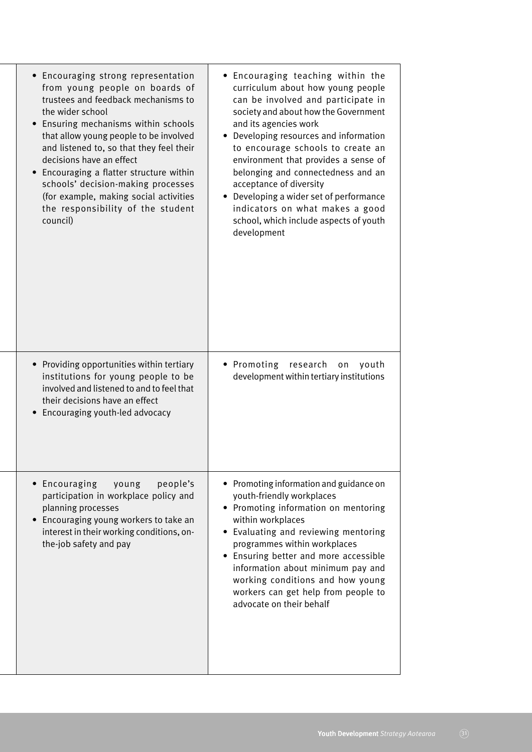| Encouraging strong representation<br>from young people on boards of<br>trustees and feedback mechanisms to<br>the wider school<br>Ensuring mechanisms within schools<br>that allow young people to be involved<br>and listened to, so that they feel their<br>decisions have an effect<br>Encouraging a flatter structure within<br>schools' decision-making processes<br>(for example, making social activities<br>the responsibility of the student<br>council) | • Encouraging teaching within the<br>curriculum about how young people<br>can be involved and participate in<br>society and about how the Government<br>and its agencies work<br>• Developing resources and information<br>to encourage schools to create an<br>environment that provides a sense of<br>belonging and connectedness and an<br>acceptance of diversity<br>• Developing a wider set of performance<br>indicators on what makes a good<br>school, which include aspects of youth<br>development |
|-------------------------------------------------------------------------------------------------------------------------------------------------------------------------------------------------------------------------------------------------------------------------------------------------------------------------------------------------------------------------------------------------------------------------------------------------------------------|--------------------------------------------------------------------------------------------------------------------------------------------------------------------------------------------------------------------------------------------------------------------------------------------------------------------------------------------------------------------------------------------------------------------------------------------------------------------------------------------------------------|
| Providing opportunities within tertiary<br>institutions for young people to be<br>involved and listened to and to feel that<br>their decisions have an effect<br>Encouraging youth-led advocacy                                                                                                                                                                                                                                                                   | • Promoting<br>research<br>youth<br>on<br>development within tertiary institutions                                                                                                                                                                                                                                                                                                                                                                                                                           |
| Encouraging<br>young<br>people's<br>participation in workplace policy and<br>planning processes<br>Encouraging young workers to take an<br>interest in their working conditions, on-<br>the-job safety and pay                                                                                                                                                                                                                                                    | • Promoting information and guidance on<br>youth-friendly workplaces<br>• Promoting information on mentoring<br>within workplaces<br>• Evaluating and reviewing mentoring<br>programmes within workplaces<br>Ensuring better and more accessible<br>information about minimum pay and<br>working conditions and how young<br>workers can get help from people to<br>advocate on their behalf                                                                                                                 |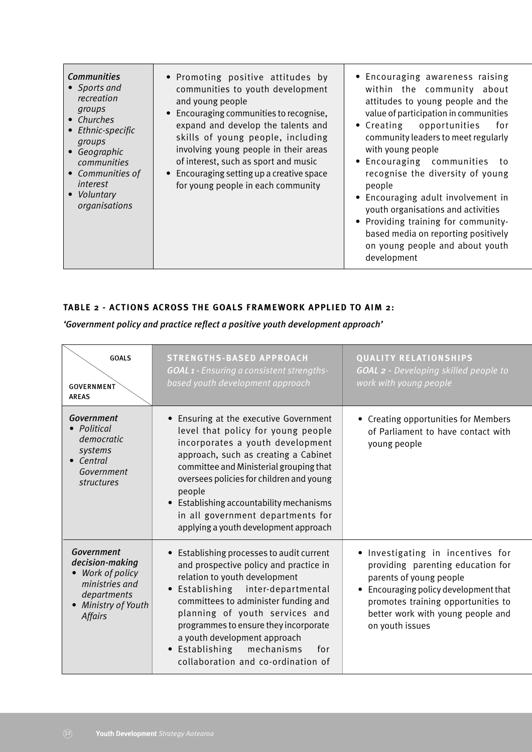| <b>Communities</b><br>• Sports and<br>recreation<br>groups<br>• Churches<br>• Ethnic-specific<br>groups<br>• Geographic<br>communities<br>• Communities of<br>interest<br>Voluntary<br>organisations | • Promoting positive attitudes by<br>communities to youth development<br>and young people<br>• Encouraging communities to recognise,<br>expand and develop the talents and<br>skills of young people, including<br>involving young people in their areas<br>of interest, such as sport and music<br>• Encouraging setting up a creative space<br>for young people in each community | • Encouraging awareness raising<br>within the community about<br>attitudes to young people and the<br>value of participation in communities<br>$\bullet$ Creating<br>opportunities<br>for<br>community leaders to meet regularly<br>with young people<br>• Encouraging communities to<br>recognise the diversity of young<br>people<br>• Encouraging adult involvement in<br>youth organisations and activities<br>• Providing training for community-<br>based media on reporting positively<br>on young people and about youth<br>development |
|------------------------------------------------------------------------------------------------------------------------------------------------------------------------------------------------------|-------------------------------------------------------------------------------------------------------------------------------------------------------------------------------------------------------------------------------------------------------------------------------------------------------------------------------------------------------------------------------------|-------------------------------------------------------------------------------------------------------------------------------------------------------------------------------------------------------------------------------------------------------------------------------------------------------------------------------------------------------------------------------------------------------------------------------------------------------------------------------------------------------------------------------------------------|
|------------------------------------------------------------------------------------------------------------------------------------------------------------------------------------------------------|-------------------------------------------------------------------------------------------------------------------------------------------------------------------------------------------------------------------------------------------------------------------------------------------------------------------------------------------------------------------------------------|-------------------------------------------------------------------------------------------------------------------------------------------------------------------------------------------------------------------------------------------------------------------------------------------------------------------------------------------------------------------------------------------------------------------------------------------------------------------------------------------------------------------------------------------------|

## **TABLE 2 - ACTIONS ACROSS THE GOALS FRAMEWORK APPLIED TO AIM 2:**

*'Government policy and practice reflect a positive youth development approach'*

| <b>GOALS</b><br><b>GOVERNMENT</b><br><b>AREAS</b>                                                                       | <b>STRENGTHS-BASED APPROACH</b><br><b>GOAL 1 - Ensuring a consistent strengths-</b><br>based youth development approach                                                                                                                                                                                                                                                                                       | <b>QUALITY RELATIONSHIPS</b><br><b>GOAL 2 -</b> Developing skilled people to<br>work with young people                                                                                                                               |
|-------------------------------------------------------------------------------------------------------------------------|---------------------------------------------------------------------------------------------------------------------------------------------------------------------------------------------------------------------------------------------------------------------------------------------------------------------------------------------------------------------------------------------------------------|--------------------------------------------------------------------------------------------------------------------------------------------------------------------------------------------------------------------------------------|
| Government<br>Political<br>democratic<br>systems<br>Central<br>Government<br>structures                                 | Ensuring at the executive Government<br>level that policy for young people<br>incorporates a youth development<br>approach, such as creating a Cabinet<br>committee and Ministerial grouping that<br>oversees policies for children and young<br>people<br>Establishing accountability mechanisms<br>$\bullet$<br>in all government departments for<br>applying a youth development approach                  | • Creating opportunities for Members<br>of Parliament to have contact with<br>young people                                                                                                                                           |
| Government<br>decision-making<br>Work of policy<br>ministries and<br>departments<br>Ministry of Youth<br><b>Affairs</b> | Establishing processes to audit current<br>$\bullet$<br>and prospective policy and practice in<br>relation to youth development<br>Establishing inter-departmental<br>committees to administer funding and<br>planning of youth services and<br>programmes to ensure they incorporate<br>a youth development approach<br>Establishing<br>mechanisms<br>for<br>$\bullet$<br>collaboration and co-ordination of | Investigating in incentives for<br>providing parenting education for<br>parents of young people<br>Encouraging policy development that<br>promotes training opportunities to<br>better work with young people and<br>on youth issues |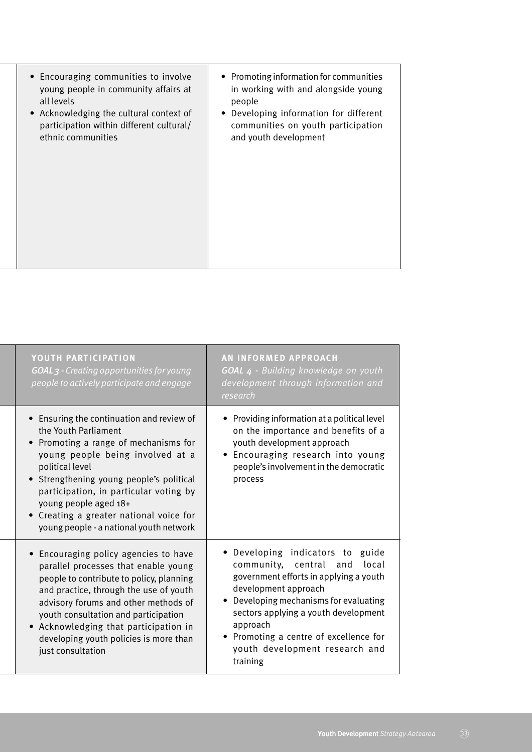| • Encouraging communities to involve<br>young people in community affairs at<br>all levels<br>Acknowledging the cultural context of<br>$\bullet$<br>participation within different cultural/<br>ethnic communities | • Promoting information for communities<br>in working with and alongside young<br>people<br>Developing information for different<br>communities on youth participation<br>and youth development |
|--------------------------------------------------------------------------------------------------------------------------------------------------------------------------------------------------------------------|-------------------------------------------------------------------------------------------------------------------------------------------------------------------------------------------------|
|--------------------------------------------------------------------------------------------------------------------------------------------------------------------------------------------------------------------|-------------------------------------------------------------------------------------------------------------------------------------------------------------------------------------------------|

| YOUTH PARTICIPATION<br><b>GOAL 3 - Creating opportunities for young</b><br>people to actively participate and engage                                                                                                                                                                                                                                                            | <b>AN INFORMED APPROACH</b><br>GOAL 4 - Building knowledge on youth<br>development through information and<br>research                                                                                                                                                                                                                  |
|---------------------------------------------------------------------------------------------------------------------------------------------------------------------------------------------------------------------------------------------------------------------------------------------------------------------------------------------------------------------------------|-----------------------------------------------------------------------------------------------------------------------------------------------------------------------------------------------------------------------------------------------------------------------------------------------------------------------------------------|
| • Ensuring the continuation and review of<br>the Youth Parliament<br>Promoting a range of mechanisms for<br>young people being involved at a<br>political level<br>Strengthening young people's political<br>$\bullet$<br>participation, in particular voting by<br>young people aged 18+<br>• Creating a greater national voice for<br>young people - a national youth network | • Providing information at a political level<br>on the importance and benefits of a<br>youth development approach<br>Encouraging research into young<br>$\bullet$<br>people's involvement in the democratic<br>process                                                                                                                  |
| Encouraging policy agencies to have<br>parallel processes that enable young<br>people to contribute to policy, planning<br>and practice, through the use of youth<br>advisory forums and other methods of<br>youth consultation and participation<br>• Acknowledging that participation in<br>developing youth policies is more than<br>just consultation                       | • Developing indicators to guide<br>community, central<br>local<br>and<br>government efforts in applying a youth<br>development approach<br>Developing mechanisms for evaluating<br>$\bullet$<br>sectors applying a youth development<br>approach<br>Promoting a centre of excellence for<br>youth development research and<br>training |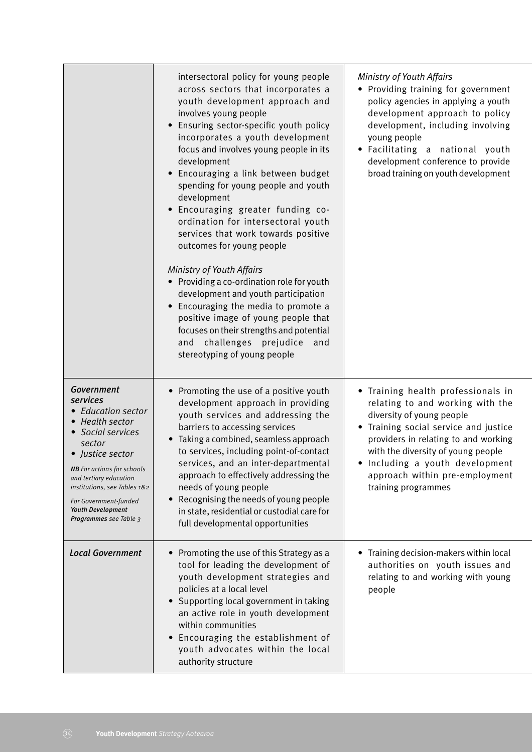|                                                                                                                                                                                                                                                                                                            | intersectoral policy for young people<br>across sectors that incorporates a<br>youth development approach and<br>involves young people<br>Ensuring sector-specific youth policy<br>incorporates a youth development<br>focus and involves young people in its<br>development<br>Encouraging a link between budget<br>spending for young people and youth<br>development<br>· Encouraging greater funding co-<br>ordination for intersectoral youth<br>services that work towards positive<br>outcomes for young people<br>Ministry of Youth Affairs<br>• Providing a co-ordination role for youth<br>development and youth participation<br>Encouraging the media to promote a<br>positive image of young people that<br>focuses on their strengths and potential<br>and challenges prejudice<br>and<br>stereotyping of young people | Ministry of Youth Affairs<br>• Providing training for government<br>policy agencies in applying a youth<br>development approach to policy<br>development, including involving<br>young people<br>Facilitating a national youth<br>$\bullet$<br>development conference to provide<br>broad training on youth development |
|------------------------------------------------------------------------------------------------------------------------------------------------------------------------------------------------------------------------------------------------------------------------------------------------------------|--------------------------------------------------------------------------------------------------------------------------------------------------------------------------------------------------------------------------------------------------------------------------------------------------------------------------------------------------------------------------------------------------------------------------------------------------------------------------------------------------------------------------------------------------------------------------------------------------------------------------------------------------------------------------------------------------------------------------------------------------------------------------------------------------------------------------------------|-------------------------------------------------------------------------------------------------------------------------------------------------------------------------------------------------------------------------------------------------------------------------------------------------------------------------|
| <b>Government</b><br>services<br>• Education sector<br><b>Health sector</b><br>Social services<br>sector<br>• Justice sector<br><b>NB</b> For actions for schools<br>and tertiary education<br>institutions, see Tables 1&2<br>For Government-funded<br><b>Youth Development</b><br>Programmes see Table 3 | Promoting the use of a positive youth<br>development approach in providing<br>youth services and addressing the<br>barriers to accessing services<br>Taking a combined, seamless approach<br>$\bullet$<br>to services, including point-of-contact<br>services, and an inter-departmental<br>approach to effectively addressing the<br>needs of young people<br>Recognising the needs of young people<br>$\bullet$<br>in state, residential or custodial care for<br>full developmental opportunities                                                                                                                                                                                                                                                                                                                                 | • Training health professionals in<br>relating to and working with the<br>diversity of young people<br>Training social service and justice<br>providers in relating to and working<br>with the diversity of young people<br>Including a youth development<br>approach within pre-employment<br>training programmes      |
| <b>Local Government</b>                                                                                                                                                                                                                                                                                    | Promoting the use of this Strategy as a<br>tool for leading the development of<br>youth development strategies and<br>policies at a local level<br>Supporting local government in taking<br>an active role in youth development<br>within communities<br>Encouraging the establishment of<br>$\bullet$<br>youth advocates within the local<br>authority structure                                                                                                                                                                                                                                                                                                                                                                                                                                                                    | Training decision-makers within local<br>authorities on youth issues and<br>relating to and working with young<br>people                                                                                                                                                                                                |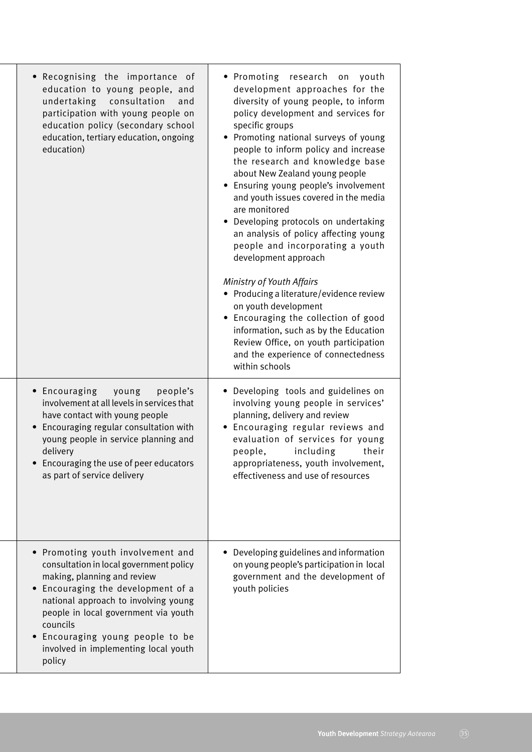| Recognising the importance<br>0f<br>education to young people, and<br>undertaking<br>consultation<br>and<br>participation with young people on<br>education policy (secondary school<br>education, tertiary education, ongoing<br>education)                                                                                  | • Promoting<br>research<br>youth<br>$\mathop{\rm on}\nolimits$<br>development approaches for the<br>diversity of young people, to inform<br>policy development and services for<br>specific groups<br>• Promoting national surveys of young<br>people to inform policy and increase<br>the research and knowledge base<br>about New Zealand young people<br>• Ensuring young people's involvement<br>and youth issues covered in the media<br>are monitored<br>• Developing protocols on undertaking<br>an analysis of policy affecting young<br>people and incorporating a youth<br>development approach<br>Ministry of Youth Affairs<br>• Producing a literature/evidence review<br>on youth development<br>• Encouraging the collection of good<br>information, such as by the Education<br>Review Office, on youth participation<br>and the experience of connectedness<br>within schools |
|-------------------------------------------------------------------------------------------------------------------------------------------------------------------------------------------------------------------------------------------------------------------------------------------------------------------------------|-----------------------------------------------------------------------------------------------------------------------------------------------------------------------------------------------------------------------------------------------------------------------------------------------------------------------------------------------------------------------------------------------------------------------------------------------------------------------------------------------------------------------------------------------------------------------------------------------------------------------------------------------------------------------------------------------------------------------------------------------------------------------------------------------------------------------------------------------------------------------------------------------|
| • Encouraging<br>young<br>people's<br>involvement at all levels in services that<br>have contact with young people<br>Encouraging regular consultation with<br>young people in service planning and<br>delivery<br>• Encouraging the use of peer educators<br>as part of service delivery                                     | • Developing tools and guidelines on<br>involving young people in services'<br>planning, delivery and review<br>Encouraging regular reviews and<br>evaluation of services for young<br>including<br>their<br>people,<br>appropriateness, youth involvement,<br>effectiveness and use of resources                                                                                                                                                                                                                                                                                                                                                                                                                                                                                                                                                                                             |
| Promoting youth involvement and<br>consultation in local government policy<br>making, planning and review<br>Encouraging the development of a<br>national approach to involving young<br>people in local government via youth<br>councils<br>Encouraging young people to be<br>involved in implementing local youth<br>policy | Developing guidelines and information<br>on young people's participation in local<br>government and the development of<br>youth policies                                                                                                                                                                                                                                                                                                                                                                                                                                                                                                                                                                                                                                                                                                                                                      |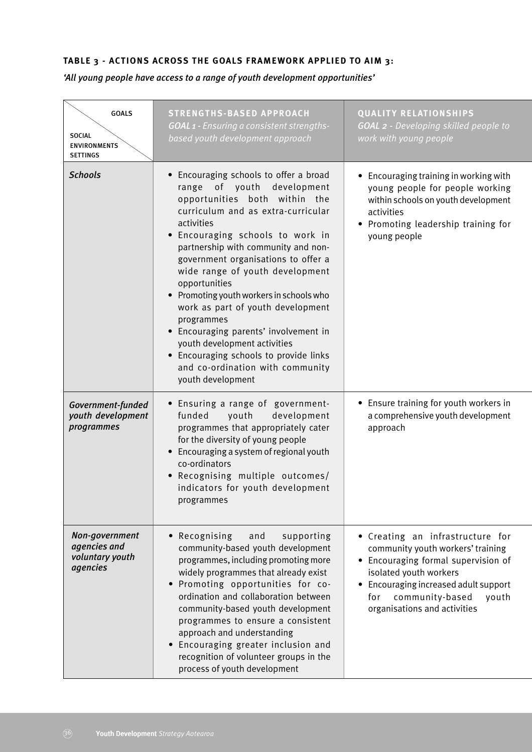# **TABLE 3 - ACTIONS ACROSS THE GOALS FRAMEWORK APPLIED TO AIM 3:**

# *'All young people have access to a range of youth development opportunities'*

| <b>GOALS</b><br><b>SOCIAL</b><br><b>ENVIRONMENTS</b><br><b>SETTINGS</b> | <b>STRENGTHS-BASED APPROACH</b><br><b>GOAL 1 - Ensuring a consistent strengths-</b><br>based youth development approach                                                                                                                                                                                                                                                                                                                                                                                                                                                                                  | <b>QUALITY RELATIONSHIPS</b><br><b>GOAL 2 - Developing skilled people to</b><br>work with young people                                                                                                                                             |
|-------------------------------------------------------------------------|----------------------------------------------------------------------------------------------------------------------------------------------------------------------------------------------------------------------------------------------------------------------------------------------------------------------------------------------------------------------------------------------------------------------------------------------------------------------------------------------------------------------------------------------------------------------------------------------------------|----------------------------------------------------------------------------------------------------------------------------------------------------------------------------------------------------------------------------------------------------|
| <b>Schools</b>                                                          | Encouraging schools to offer a broad<br>range of youth development<br>opportunities both within the<br>curriculum and as extra-curricular<br>activities<br>. Encouraging schools to work in<br>partnership with community and non-<br>government organisations to offer a<br>wide range of youth development<br>opportunities<br>• Promoting youth workers in schools who<br>work as part of youth development<br>programmes<br>• Encouraging parents' involvement in<br>youth development activities<br>• Encouraging schools to provide links<br>and co-ordination with community<br>youth development | • Encouraging training in working with<br>young people for people working<br>within schools on youth development<br>activities<br>• Promoting leadership training for<br>young people                                                              |
| Government-funded<br>youth development<br>programmes                    | • Ensuring a range of government-<br>funded<br>youth<br>development<br>programmes that appropriately cater<br>for the diversity of young people<br>Encouraging a system of regional youth<br>$\bullet$<br>co-ordinators<br>. Recognising multiple outcomes/<br>indicators for youth development<br>programmes                                                                                                                                                                                                                                                                                            | • Ensure training for youth workers in<br>a comprehensive youth development<br>approach                                                                                                                                                            |
| Non-government<br>agencies and<br>voluntary youth<br>agencies           | Recognising<br>and<br>supporting<br>$\bullet$<br>community-based youth development<br>programmes, including promoting more<br>widely programmes that already exist<br>Promoting opportunities for co-<br>ordination and collaboration between<br>community-based youth development<br>programmes to ensure a consistent<br>approach and understanding<br>Encouraging greater inclusion and<br>recognition of volunteer groups in the<br>process of youth development                                                                                                                                     | • Creating an infrastructure for<br>community youth workers' training<br>• Encouraging formal supervision of<br>isolated youth workers<br>• Encouraging increased adult support<br>community-based<br>for<br>youth<br>organisations and activities |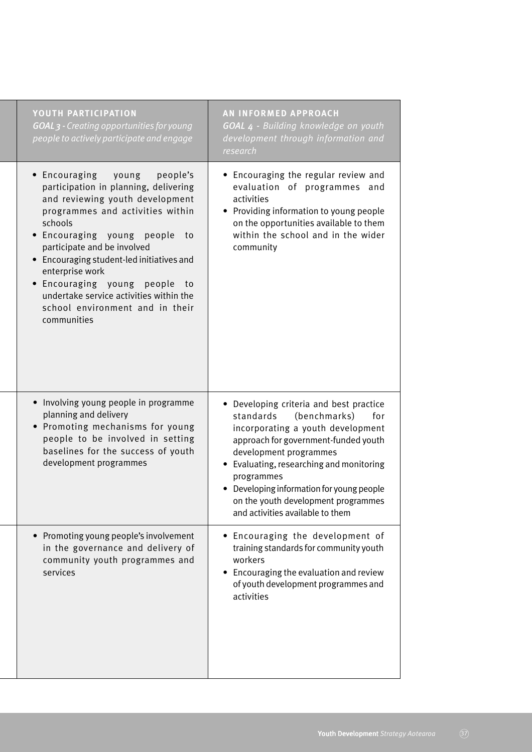| YOUTH PARTICIPATION<br><b>GOAL 3 - Creating opportunities for young</b><br>people to actively participate and engage                                                                                                                                                                                                                                                                                                           | <b>AN INFORMED APPROACH</b><br>GOAL 4 - Building knowledge on youth<br>development through information and<br>research                                                                                                                                                                                                                                               |
|--------------------------------------------------------------------------------------------------------------------------------------------------------------------------------------------------------------------------------------------------------------------------------------------------------------------------------------------------------------------------------------------------------------------------------|----------------------------------------------------------------------------------------------------------------------------------------------------------------------------------------------------------------------------------------------------------------------------------------------------------------------------------------------------------------------|
| Encouraging<br>young<br>people's<br>participation in planning, delivering<br>and reviewing youth development<br>programmes and activities within<br>schools<br>· Encouraging young people<br>to<br>participate and be involved<br>Encouraging student-led initiatives and<br>enterprise work<br>Encouraging young<br>people<br>to<br>undertake service activities within the<br>school environment and in their<br>communities | • Encouraging the regular review and<br>evaluation of programmes<br>and<br>activities<br>• Providing information to young people<br>on the opportunities available to them<br>within the school and in the wider<br>community                                                                                                                                        |
| • Involving young people in programme<br>planning and delivery<br>• Promoting mechanisms for young<br>people to be involved in setting<br>baselines for the success of youth<br>development programmes                                                                                                                                                                                                                         | • Developing criteria and best practice<br>standards<br>(benchmarks)<br>for<br>incorporating a youth development<br>approach for government-funded youth<br>development programmes<br>• Evaluating, researching and monitoring<br>programmes<br>• Developing information for young people<br>on the youth development programmes<br>and activities available to them |
| Promoting young people's involvement<br>in the governance and delivery of<br>community youth programmes and<br>services                                                                                                                                                                                                                                                                                                        | • Encouraging the development of<br>training standards for community youth<br>workers<br>• Encouraging the evaluation and review<br>of youth development programmes and<br>activities                                                                                                                                                                                |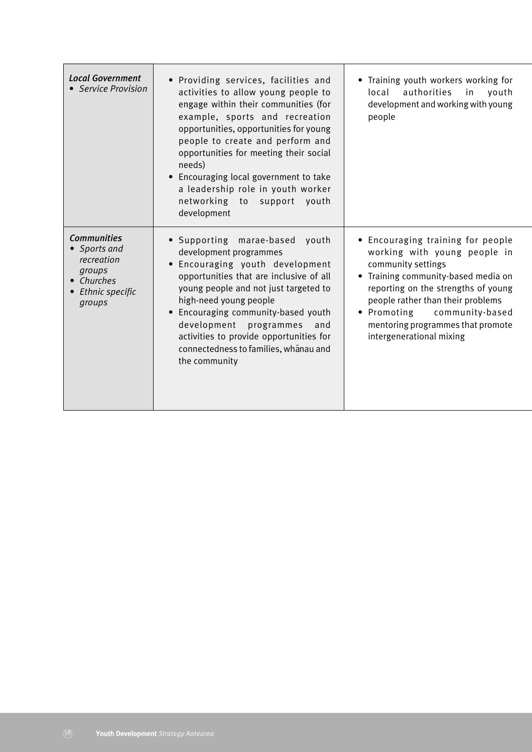| <b>Local Government</b><br>• Service Provision                                                        | . Providing services, facilities and<br>activities to allow young people to<br>engage within their communities (for<br>example, sports and recreation<br>opportunities, opportunities for young<br>people to create and perform and<br>opportunities for meeting their social<br>needs)<br>Encouraging local government to take<br>$\bullet$<br>a leadership role in youth worker<br>networking to support<br>youth<br>development | Training youth workers working for<br>authorities<br>local<br>$\mathsf{in}$<br>youth<br>development and working with young<br>people                                                                                                                                                                        |
|-------------------------------------------------------------------------------------------------------|------------------------------------------------------------------------------------------------------------------------------------------------------------------------------------------------------------------------------------------------------------------------------------------------------------------------------------------------------------------------------------------------------------------------------------|-------------------------------------------------------------------------------------------------------------------------------------------------------------------------------------------------------------------------------------------------------------------------------------------------------------|
| <b>Communities</b><br>• Sports and<br>recreation<br>groups<br>• Churches<br>Ethnic specific<br>groups | • Supporting marae-based<br>youth<br>development programmes<br>Encouraging youth development<br>$\bullet$<br>opportunities that are inclusive of all<br>young people and not just targeted to<br>high-need young people<br>• Encouraging community-based youth<br>development<br>programmes<br>and<br>activities to provide opportunities for<br>connectedness to families, whanau and<br>the community                            | • Encouraging training for people<br>working with young people in<br>community settings<br>Training community-based media on<br>reporting on the strengths of young<br>people rather than their problems<br>• Promoting<br>community-based<br>mentoring programmes that promote<br>intergenerational mixing |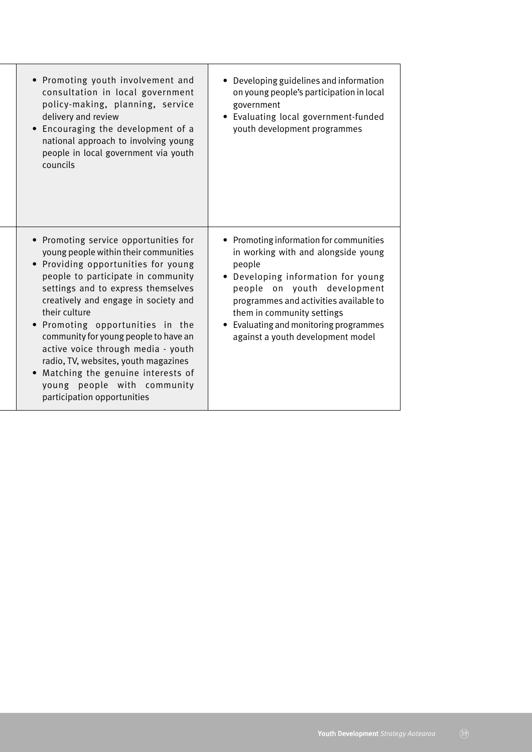| • Promoting youth involvement and<br>consultation in local government<br>policy-making, planning, service<br>delivery and review<br>Encouraging the development of a<br>$\bullet$<br>national approach to involving young<br>people in local government via youth<br>councils                                                                                                                                                                                                                                          | • Developing guidelines and information<br>on young people's participation in local<br>government<br>• Evaluating local government-funded<br>youth development programmes                                                                                                                                            |
|------------------------------------------------------------------------------------------------------------------------------------------------------------------------------------------------------------------------------------------------------------------------------------------------------------------------------------------------------------------------------------------------------------------------------------------------------------------------------------------------------------------------|----------------------------------------------------------------------------------------------------------------------------------------------------------------------------------------------------------------------------------------------------------------------------------------------------------------------|
| • Promoting service opportunities for<br>young people within their communities<br>Providing opportunities for young<br>people to participate in community<br>settings and to express themselves<br>creatively and engage in society and<br>their culture<br>. Promoting opportunities in the<br>community for young people to have an<br>active voice through media - youth<br>radio, TV, websites, youth magazines<br>Matching the genuine interests of<br>young people with community<br>participation opportunities | • Promoting information for communities<br>in working with and alongside young<br>people<br>• Developing information for young<br>people on youth development<br>programmes and activities available to<br>them in community settings<br>• Evaluating and monitoring programmes<br>against a youth development model |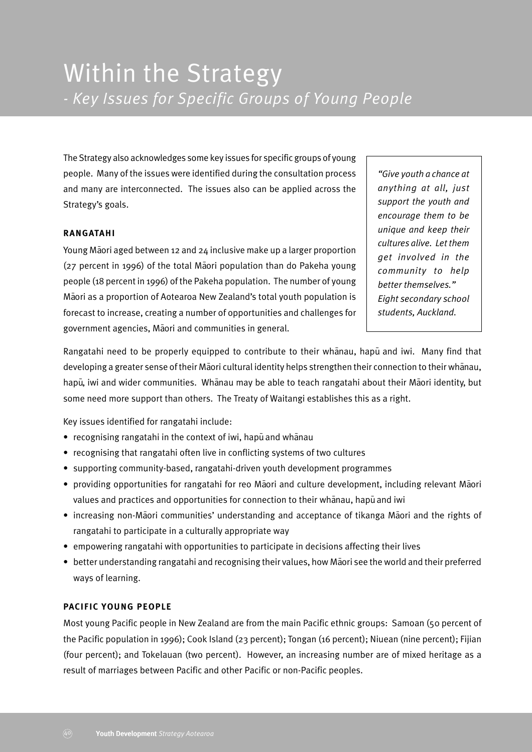The Strategy also acknowledges some key issues for specific groups of young people. Many of the issues were identified during the consultation process and many are interconnected. The issues also can be applied across the Strategy's goals.

#### **RANGATAHI**

Young Maori aged between 12 and 24 inclusive make up a larger proportion ( $27$  percent in 1996) of the total Maori population than do Pakeha young people (18 percent in 1996) of the Pakeha population. The number of young Māori as a proportion of Aotearoa New Zealand's total youth population is forecast to increase, creating a number of opportunities and challenges for government agencies, Māori and communities in general.

*"Give youth a chance at anything at all, just support the youth and encourage them to be unique and keep their cultures alive. Let them get involved in the community to help better themselves." Eight secondary school students, Auckland.*

Rangatahi need to be properly equipped to contribute to their whanau, hapu and iwi. Many find that developing a greater sense of their Māori cultural identity helps strengthen their connection to their whānau, hapū, iwi and wider communities. Whānau may be able to teach rangatahi about their Māori identity, but some need more support than others. The Treaty of Waitangi establishes this as a right.

Key issues identified for rangatahi include:

- recognising rangatahi in the context of iwi, hapu and whanau
- recognising that rangatahi often live in conflicting systems of two cultures
- supporting community-based, rangatahi-driven youth development programmes
- providing opportunities for rangatahi for reo Māori and culture development, including relevant Māori values and practices and opportunities for connection to their whanau, hapu and iwi
- increasing non-Maori communities' understanding and acceptance of tikanga Maori and the rights of rangatahi to participate in a culturally appropriate way
- empowering rangatahi with opportunities to participate in decisions affecting their lives
- better understanding rangatahi and recognising their values, how Maori see the world and their preferred ways of learning.

#### **PACIFIC YOUNG PEOPLE**

Most young Pacific people in New Zealand are from the main Pacific ethnic groups: Samoan (50 percent of the Pacific population in 1996); Cook Island (23 percent); Tongan (16 percent); Niuean (nine percent); Fijian (four percent); and Tokelauan (two percent). However, an increasing number are of mixed heritage as a result of marriages between Pacific and other Pacific or non-Pacific peoples.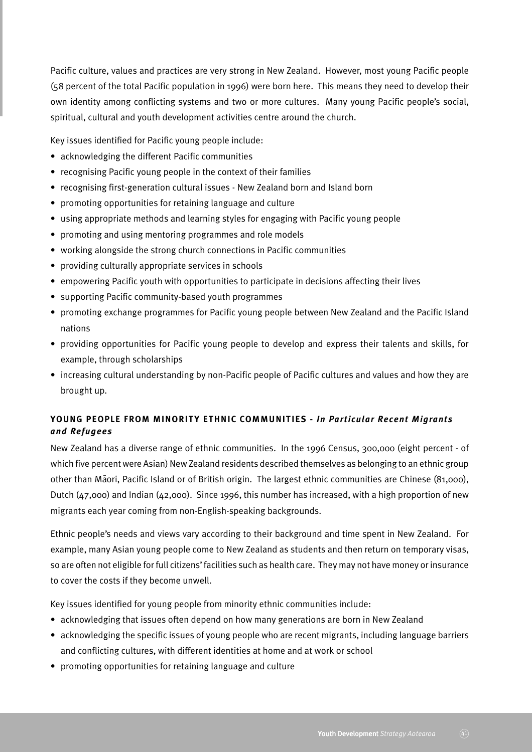Pacific culture, values and practices are very strong in New Zealand. However, most young Pacific people (58 percent of the total Pacific population in 1996) were born here. This means they need to develop their own identity among conflicting systems and two or more cultures. Many young Pacific people's social, spiritual, cultural and youth development activities centre around the church.

Key issues identified for Pacific young people include:

- acknowledging the different Pacific communities
- recognising Pacific young people in the context of their families
- recognising first-generation cultural issues New Zealand born and Island born
- promoting opportunities for retaining language and culture
- using appropriate methods and learning styles for engaging with Pacific young people
- promoting and using mentoring programmes and role models
- working alongside the strong church connections in Pacific communities
- providing culturally appropriate services in schools
- empowering Pacific youth with opportunities to participate in decisions affecting their lives
- supporting Pacific community-based youth programmes
- promoting exchange programmes for Pacific young people between New Zealand and the Pacific Island nations
- providing opportunities for Pacific young people to develop and express their talents and skills, for example, through scholarships
- increasing cultural understanding by non-Pacific people of Pacific cultures and values and how they are brought up.

## **YOUNG PEOPLE FROM MINORITY ETHNIC COMMUNITIES -** *In Particular Recent Migrants and Refugees*

New Zealand has a diverse range of ethnic communities. In the 1996 Census, 300,000 (eight percent - of which five percent were Asian) New Zealand residents described themselves as belonging to an ethnic group other than Maori, Pacific Island or of British origin. The largest ethnic communities are Chinese (81,000), Dutch (47,000) and Indian (42,000). Since 1996, this number has increased, with a high proportion of new migrants each year coming from non-English-speaking backgrounds.

Ethnic people's needs and views vary according to their background and time spent in New Zealand. For example, many Asian young people come to New Zealand as students and then return on temporary visas, so are often not eligible for full citizens' facilities such as health care. They may not have money or insurance to cover the costs if they become unwell.

Key issues identified for young people from minority ethnic communities include:

- acknowledging that issues often depend on how many generations are born in New Zealand
- acknowledging the specific issues of young people who are recent migrants, including language barriers and conflicting cultures, with different identities at home and at work or school
- promoting opportunities for retaining language and culture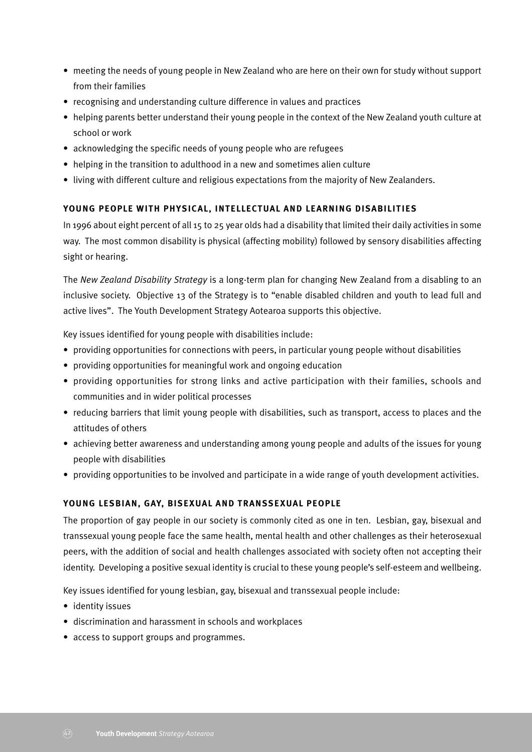- meeting the needs of young people in New Zealand who are here on their own for study without support from their families
- recognising and understanding culture difference in values and practices
- helping parents better understand their young people in the context of the New Zealand youth culture at school or work
- acknowledging the specific needs of young people who are refugees
- helping in the transition to adulthood in a new and sometimes alien culture
- living with different culture and religious expectations from the majority of New Zealanders.

#### **YOUNG PEOPLE WITH PHYSICAL, INTELLECTUAL AND LEARNING DISABILITIES**

In 1996 about eight percent of all 15 to 25 year olds had a disability that limited their daily activities in some way. The most common disability is physical (affecting mobility) followed by sensory disabilities affecting sight or hearing.

The *New Zealand Disability Strategy* is a long-term plan for changing New Zealand from a disabling to an inclusive society. Objective 13 of the Strategy is to "enable disabled children and youth to lead full and active lives". The Youth Development Strategy Aotearoa supports this objective.

Key issues identified for young people with disabilities include:

- providing opportunities for connections with peers, in particular young people without disabilities
- providing opportunities for meaningful work and ongoing education
- providing opportunities for strong links and active participation with their families, schools and communities and in wider political processes
- reducing barriers that limit young people with disabilities, such as transport, access to places and the attitudes of others
- achieving better awareness and understanding among young people and adults of the issues for young people with disabilities
- providing opportunities to be involved and participate in a wide range of youth development activities.

#### **YOUNG LESBIAN, GAY, BISEXUAL AND TRANSSEXUAL PEOPLE**

The proportion of gay people in our society is commonly cited as one in ten. Lesbian, gay, bisexual and transsexual young people face the same health, mental health and other challenges as their heterosexual peers, with the addition of social and health challenges associated with society often not accepting their identity. Developing a positive sexual identity is crucial to these young people's self-esteem and wellbeing.

Key issues identified for young lesbian, gay, bisexual and transsexual people include:

- identity issues
- discrimination and harassment in schools and workplaces
- access to support groups and programmes.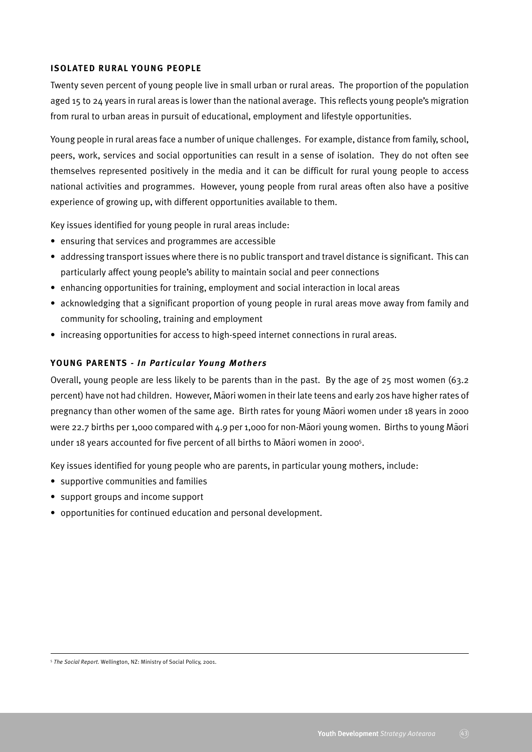#### **ISOLATED RURAL YOUNG PEOPLE**

Twenty seven percent of young people live in small urban or rural areas. The proportion of the population aged 15 to 24 years in rural areas is lower than the national average. This reflects young people's migration from rural to urban areas in pursuit of educational, employment and lifestyle opportunities.

Young people in rural areas face a number of unique challenges. For example, distance from family, school, peers, work, services and social opportunities can result in a sense of isolation. They do not often see themselves represented positively in the media and it can be difficult for rural young people to access national activities and programmes. However, young people from rural areas often also have a positive experience of growing up, with different opportunities available to them.

Key issues identified for young people in rural areas include:

- ensuring that services and programmes are accessible
- addressing transport issues where there is no public transport and travel distance is significant. This can particularly affect young people's ability to maintain social and peer connections
- enhancing opportunities for training, employment and social interaction in local areas
- acknowledging that a significant proportion of young people in rural areas move away from family and community for schooling, training and employment
- increasing opportunities for access to high-speed internet connections in rural areas.

#### **YOUNG PARENTS** *- In Particular Young Mothers*

Overall, young people are less likely to be parents than in the past. By the age of 25 most women (63.2 percent) have not had children. However, Maori women in their late teens and early 20s have higher rates of pregnancy than other women of the same age. Birth rates for young Maori women under 18 years in 2000 were 22.7 births per 1,000 compared with 4.9 per 1,000 for non-Maori young women. Births to young Maori under 18 years accounted for five percent of all births to Maori women in 2000<sup>5</sup>.

Key issues identified for young people who are parents, in particular young mothers, include:

- supportive communities and families
- support groups and income support
- opportunities for continued education and personal development.

<sup>5</sup> *The Social Report.* Wellington, NZ: Ministry of Social Policy, 2001.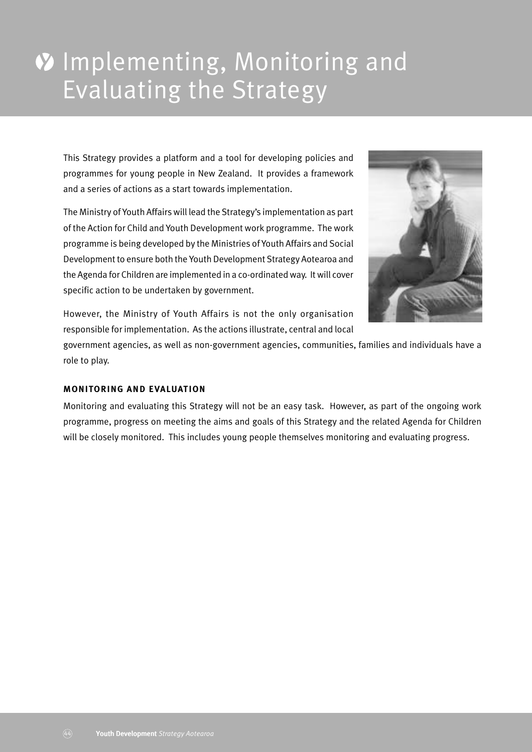# **V** Implementing, Monitoring and Evaluating the Strategy

This Strategy provides a platform and a tool for developing policies and programmes for young people in New Zealand. It provides a framework and a series of actions as a start towards implementation.

The Ministry of Youth Affairs will lead the Strategy's implementation as part of the Action for Child and Youth Development work programme. The work programme is being developed by the Ministries of Youth Affairs and Social Development to ensure both the Youth Development Strategy Aotearoa and the Agenda for Children are implemented in a co-ordinated way. It will cover specific action to be undertaken by government.



However, the Ministry of Youth Affairs is not the only organisation responsible for implementation. As the actions illustrate, central and local

government agencies, as well as non-government agencies, communities, families and individuals have a role to play.

#### **MONITORING AND EVALUATION**

Monitoring and evaluating this Strategy will not be an easy task. However, as part of the ongoing work programme, progress on meeting the aims and goals of this Strategy and the related Agenda for Children will be closely monitored. This includes young people themselves monitoring and evaluating progress.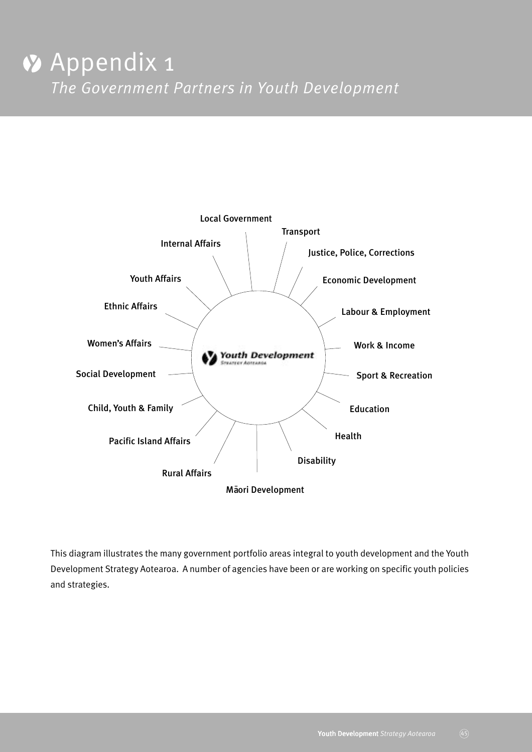

This diagram illustrates the many government portfolio areas integral to youth development and the Youth Development Strategy Aotearoa. A number of agencies have been or are working on specific youth policies and strategies.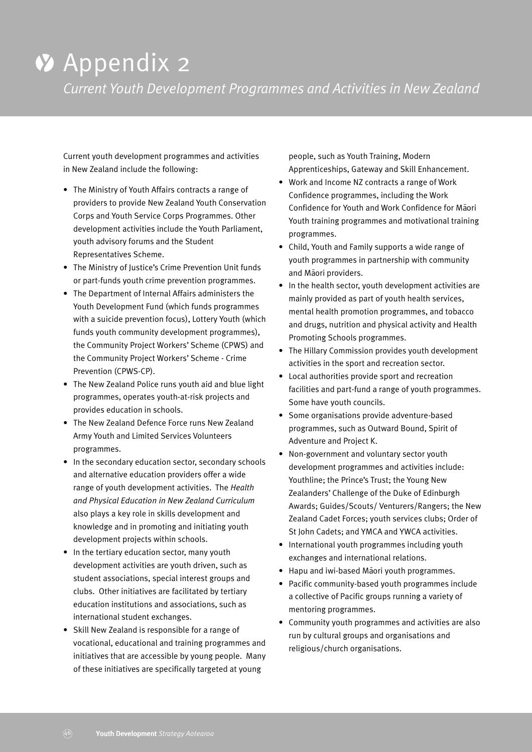# **V** Appendix 2

*Current Youth Development Programmes and Activities in New Zealand*

Current youth development programmes and activities in New Zealand include the following:

- The Ministry of Youth Affairs contracts a range of providers to provide New Zealand Youth Conservation Corps and Youth Service Corps Programmes. Other development activities include the Youth Parliament, youth advisory forums and the Student Representatives Scheme.
- The Ministry of Justice's Crime Prevention Unit funds or part-funds youth crime prevention programmes.
- The Department of Internal Affairs administers the Youth Development Fund (which funds programmes with a suicide prevention focus), Lottery Youth (which funds youth community development programmes), the Community Project Workers' Scheme (CPWS) and the Community Project Workers' Scheme - Crime Prevention (CPWS-CP).
- The New Zealand Police runs youth aid and blue light programmes, operates youth-at-risk projects and provides education in schools.
- The New Zealand Defence Force runs New Zealand Army Youth and Limited Services Volunteers programmes.
- In the secondary education sector, secondary schools and alternative education providers offer a wide range of youth development activities. The *Health and Physical Education in New Zealand Curriculum* also plays a key role in skills development and knowledge and in promoting and initiating youth development projects within schools.
- In the tertiary education sector, many youth development activities are youth driven, such as student associations, special interest groups and clubs. Other initiatives are facilitated by tertiary education institutions and associations, such as international student exchanges.
- Skill New Zealand is responsible for a range of vocational, educational and training programmes and initiatives that are accessible by young people. Many of these initiatives are specifically targeted at young

people, such as Youth Training, Modern Apprenticeships, Gateway and Skill Enhancement.

- Work and Income NZ contracts a range of Work Confidence programmes, including the Work Confidence for Youth and Work Confidence for Maori Youth training programmes and motivational training programmes.
- Child, Youth and Family supports a wide range of youth programmes in partnership with community and Māori providers.
- In the health sector, youth development activities are mainly provided as part of youth health services, mental health promotion programmes, and tobacco and drugs, nutrition and physical activity and Health Promoting Schools programmes.
- The Hillary Commission provides youth development activities in the sport and recreation sector.
- Local authorities provide sport and recreation facilities and part-fund a range of youth programmes. Some have youth councils.
- Some organisations provide adventure-based programmes, such as Outward Bound, Spirit of Adventure and Project K.
- Non-government and voluntary sector youth development programmes and activities include: Youthline; the Prince's Trust; the Young New Zealanders' Challenge of the Duke of Edinburgh Awards; Guides/Scouts/ Venturers/Rangers; the New Zealand Cadet Forces; youth services clubs; Order of St John Cadets; and YMCA and YWCA activities.
- International youth programmes including youth exchanges and international relations.
- Hapu and iwi-based Maori youth programmes.
- Pacific community-based youth programmes include a collective of Pacific groups running a variety of mentoring programmes.
- Community youth programmes and activities are also run by cultural groups and organisations and religious/church organisations.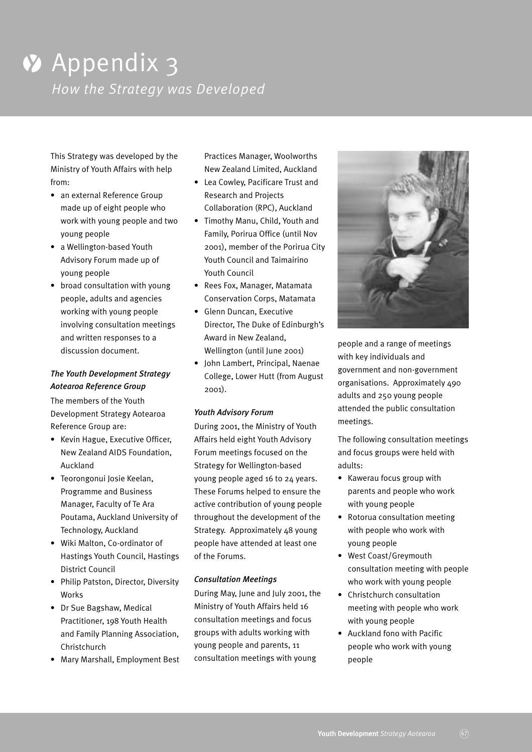# *Appendix 3 How the Strategy was Developed*

This Strategy was developed by the Ministry of Youth Affairs with help from:

- an external Reference Group made up of eight people who work with young people and two young people
- a Wellington-based Youth Advisory Forum made up of young people
- broad consultation with young people, adults and agencies working with young people involving consultation meetings and written responses to a discussion document.

# *The Youth Development Strategy Aotearoa Reference Group*

The members of the Youth Development Strategy Aotearoa Reference Group are:

- Kevin Hague, Executive Officer, New Zealand AIDS Foundation, Auckland
- Teorongonui Josie Keelan, Programme and Business Manager, Faculty of Te Ara Poutama, Auckland University of Technology, Auckland
- Wiki Malton, Co-ordinator of Hastings Youth Council, Hastings District Council
- Philip Patston, Director, Diversity **Works**
- Dr Sue Bagshaw, Medical Practitioner, 198 Youth Health and Family Planning Association, Christchurch
- Mary Marshall, Employment Best

Practices Manager, Woolworths New Zealand Limited, Auckland

- Lea Cowley, Pacificare Trust and Research and Projects Collaboration (RPC), Auckland
- Timothy Manu, Child, Youth and Family, Porirua Office (until Nov 2001), member of the Porirua City Youth Council and Taimairino Youth Council
- Rees Fox, Manager, Matamata Conservation Corps, Matamata
- Glenn Duncan, Executive Director, The Duke of Edinburgh's Award in New Zealand, Wellington (until June 2001)
- John Lambert, Principal, Naenae College, Lower Hutt (from August 2001).

#### *Youth Advisory Forum*

During 2001, the Ministry of Youth Affairs held eight Youth Advisory Forum meetings focused on the Strategy for Wellington-based young people aged 16 to 24 years. These Forums helped to ensure the active contribution of young people throughout the development of the Strategy. Approximately 48 young people have attended at least one of the Forums.

#### *Consultation Meetings*

During May, June and July 2001, the Ministry of Youth Affairs held 16 consultation meetings and focus groups with adults working with young people and parents, 11 consultation meetings with young



people and a range of meetings with key individuals and government and non-government organisations. Approximately 490 adults and 250 young people attended the public consultation meetings.

The following consultation meetings and focus groups were held with adults:

- Kawerau focus group with parents and people who work with young people
- Rotorua consultation meeting with people who work with young people
- West Coast/Greymouth consultation meeting with people who work with young people
- Christchurch consultation meeting with people who work with young people
- Auckland fono with Pacific people who work with young people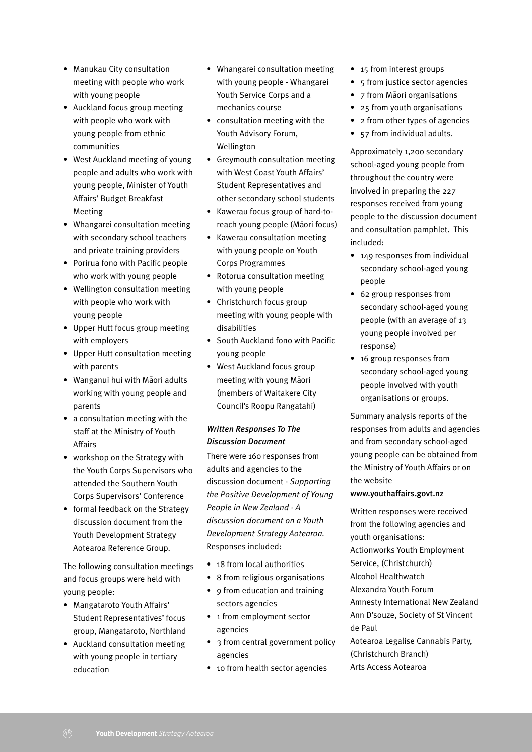- Manukau City consultation meeting with people who work with young people
- Auckland focus group meeting with people who work with young people from ethnic communities
- West Auckland meeting of young people and adults who work with young people, Minister of Youth Affairs' Budget Breakfast Meeting
- Whangarei consultation meeting with secondary school teachers and private training providers
- Porirua fono with Pacific people who work with young people
- Wellington consultation meeting with people who work with young people
- Upper Hutt focus group meeting with employers
- Upper Hutt consultation meeting with parents
- Wanganui hui with Māori adults working with young people and parents
- a consultation meeting with the staff at the Ministry of Youth Affairs
- workshop on the Strategy with the Youth Corps Supervisors who attended the Southern Youth Corps Supervisors' Conference
- formal feedback on the Strategy discussion document from the Youth Development Strategy Aotearoa Reference Group.

The following consultation meetings and focus groups were held with young people:

- Mangataroto Youth Affairs' Student Representatives' focus group, Mangataroto, Northland
- Auckland consultation meeting with young people in tertiary education
- Whangarei consultation meeting with young people - Whangarei Youth Service Corps and a mechanics course
- consultation meeting with the Youth Advisory Forum, Wellington
- Greymouth consultation meeting with West Coast Youth Affairs' Student Representatives and other secondary school students
- Kawerau focus group of hard-toreach young people (Maori focus)
- Kawerau consultation meeting with young people on Youth Corps Programmes
- Rotorua consultation meeting with young people
- Christchurch focus group meeting with young people with disabilities
- South Auckland fono with Pacific young people
- West Auckland focus group meeting with young Maori (members of Waitakere City Council's Roopu Rangatahi)

## *Written Responses To The Discussion Document*

There were 160 responses from adults and agencies to the discussion document - *Supporting the Positive Development of Young People in New Zealand - A discussion document on a Youth Development Strategy Aotearoa.* Responses included:

- 18 from local authorities
- 8 from religious organisations
- 9 from education and training sectors agencies
- 1 from employment sector agencies
- 3 from central government policy agencies
- 10 from health sector agencies
- 15 from interest groups
- 5 from justice sector agencies
- 7 from Maori organisations
- 25 from youth organisations
- 2 from other types of agencies
- 57 from individual adults.

Approximately 1,200 secondary school-aged young people from throughout the country were involved in preparing the 227 responses received from young people to the discussion document and consultation pamphlet. This included:

- 149 responses from individual secondary school-aged young people
- 62 group responses from secondary school-aged young people (with an average of 13 young people involved per response)
- 16 group responses from secondary school-aged young people involved with youth organisations or groups.

Summary analysis reports of the responses from adults and agencies and from secondary school-aged young people can be obtained from the Ministry of Youth Affairs or on the website

#### www.youthaffairs.govt.nz

Written responses were received from the following agencies and youth organisations: Actionworks Youth Employment Service, (Christchurch) Alcohol Healthwatch Alexandra Youth Forum Amnesty International New Zealand Ann D'souze, Society of St Vincent de Paul Aotearoa Legalise Cannabis Party, (Christchurch Branch)

Arts Access Aotearoa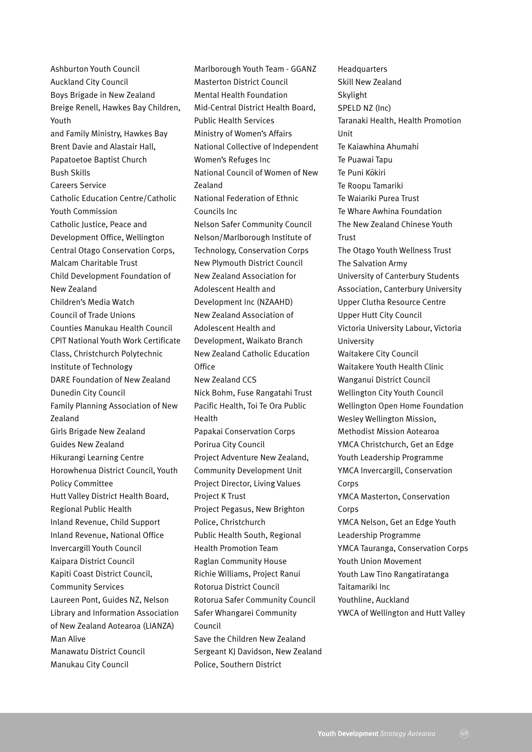Ashburton Youth Council Auckland City Council Boys Brigade in New Zealand Breige Renell, Hawkes Bay Children, Youth and Family Ministry, Hawkes Bay Brent Davie and Alastair Hall, Papatoetoe Baptist Church Bush Skills Careers Service Catholic Education Centre/Catholic Youth Commission Catholic Justice, Peace and Development Office, Wellington Central Otago Conservation Corps, Malcam Charitable Trust Child Development Foundation of New Zealand Children's Media Watch Council of Trade Unions Counties Manukau Health Council CPIT National Youth Work Certificate Class, Christchurch Polytechnic Institute of Technology DARE Foundation of New Zealand Dunedin City Council Family Planning Association of New Zealand Girls Brigade New Zealand Guides New Zealand Hikurangi Learning Centre Horowhenua District Council, Youth Policy Committee Hutt Valley District Health Board, Regional Public Health Inland Revenue, Child Support Inland Revenue, National Office Invercargill Youth Council Kaipara District Council Kapiti Coast District Council, Community Services Laureen Pont, Guides NZ, Nelson Library and Information Association of New Zealand Aotearoa (LIANZA) Man Alive Manawatu District Council Manukau City Council

Marlborough Youth Team - GGANZ Masterton District Council Mental Health Foundation Mid-Central District Health Board, Public Health Services Ministry of Women's Affairs National Collective of Independent Women's Refuges Inc National Council of Women of New Zealand National Federation of Ethnic Councils Inc Nelson Safer Community Council Nelson/Marlborough Institute of Technology, Conservation Corps New Plymouth District Council New Zealand Association for Adolescent Health and Development Inc (NZAAHD) New Zealand Association of Adolescent Health and Development, Waikato Branch New Zealand Catholic Education **Office** New Zealand CCS Nick Bohm, Fuse Rangatahi Trust Pacific Health, Toi Te Ora Public Health Papakai Conservation Corps Porirua City Council Project Adventure New Zealand, Community Development Unit Project Director, Living Values Project K Trust Project Pegasus, New Brighton Police, Christchurch Public Health South, Regional Health Promotion Team Raglan Community House Richie Williams, Project Ranui Rotorua District Council Rotorua Safer Community Council Safer Whangarei Community Council Save the Children New Zealand Sergeant KJ Davidson, New Zealand

Police, Southern District

Headquarters Skill New Zealand Skylight SPELD NZ (Inc) Taranaki Health, Health Promotion Unit Te Kaiawhina Ahumahi Te Puawai Tapu Te Puni Kōkiri Te Roopu Tamariki Te Waiariki Purea Trust Te Whare Awhina Foundation The New Zealand Chinese Youth Trust The Otago Youth Wellness Trust The Salvation Army University of Canterbury Students Association, Canterbury University Upper Clutha Resource Centre Upper Hutt City Council Victoria University Labour, Victoria University Waitakere City Council Waitakere Youth Health Clinic Wanganui District Council Wellington City Youth Council Wellington Open Home Foundation Wesley Wellington Mission, Methodist Mission Aotearoa YMCA Christchurch, Get an Edge Youth Leadership Programme YMCA Invercargill, Conservation Corps YMCA Masterton, Conservation Corps YMCA Nelson, Get an Edge Youth Leadership Programme YMCA Tauranga, Conservation Corps Youth Union Movement Youth Law Tino Rangatiratanga Taitamariki Inc Youthline, Auckland YWCA of Wellington and Hutt Valley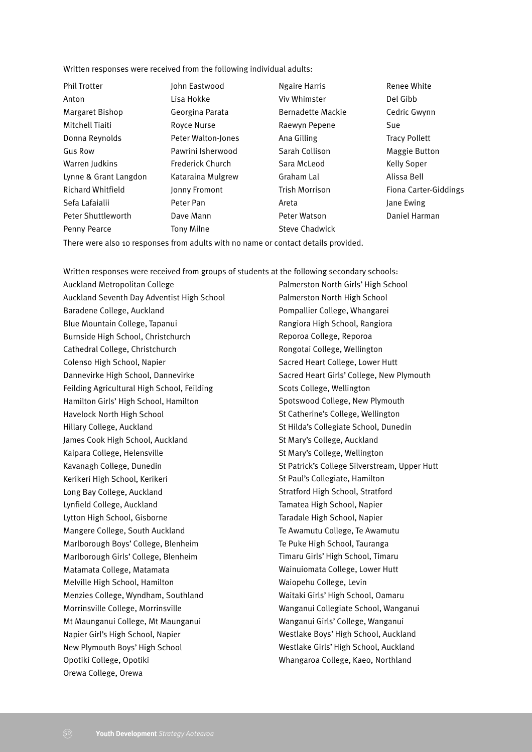Written responses were received from the following individual adults:

| <b>Phil Trotter</b>      | John Eastwood      | <b>Ngaire Harris</b>     | Renee White           |
|--------------------------|--------------------|--------------------------|-----------------------|
| Anton                    | Lisa Hokke         | Viv Whimster             | Del Gibb              |
| Margaret Bishop          | Georgina Parata    | <b>Bernadette Mackie</b> | Cedric Gwynn          |
| Mitchell Tiaiti          | Royce Nurse        | Raewyn Pepene            | Sue                   |
| Donna Reynolds           | Peter Walton-Jones | Ana Gilling              | <b>Tracy Pollett</b>  |
| <b>Gus Row</b>           | Pawrini Isherwood  | Sarah Collison           | <b>Maggie Button</b>  |
| Warren Judkins           | Frederick Church   | Sara McLeod              | <b>Kelly Soper</b>    |
| Lynne & Grant Langdon    | Kataraina Mulgrew  | Graham Lal               | Alissa Bell           |
| <b>Richard Whitfield</b> | Jonny Fromont      | <b>Trish Morrison</b>    | Fiona Carter-Giddings |
| Sefa Lafaialii           | Peter Pan          | Areta                    | Jane Ewing            |
| Peter Shuttleworth       | Dave Mann          | Peter Watson             | Daniel Harman         |
| Penny Pearce             | Tony Milne         | <b>Steve Chadwick</b>    |                       |

There were also 10 responses from adults with no name or contact details provided.

Written responses were received from groups of students at the following secondary schools:

Auckland Metropolitan College Auckland Seventh Day Adventist High School Baradene College, Auckland Blue Mountain College, Tapanui Burnside High School, Christchurch Cathedral College, Christchurch Colenso High School, Napier Dannevirke High School, Dannevirke Feilding Agricultural High School, Feilding Hamilton Girls' High School, Hamilton Havelock North High School Hillary College, Auckland James Cook High School, Auckland Kaipara College, Helensville Kavanagh College, Dunedin Kerikeri High School, Kerikeri Long Bay College, Auckland Lynfield College, Auckland Lytton High School, Gisborne Mangere College, South Auckland Marlborough Boys' College, Blenheim Marlborough Girls' College, Blenheim Matamata College, Matamata Melville High School, Hamilton Menzies College, Wyndham, Southland Morrinsville College, Morrinsville Mt Maunganui College, Mt Maunganui Napier Girl's High School, Napier New Plymouth Boys' High School Opotiki College, Opotiki Orewa College, Orewa

Palmerston North Girls' High School Palmerston North High School Pompallier College, Whangarei Rangiora High School, Rangiora Reporoa College, Reporoa Rongotai College, Wellington Sacred Heart College, Lower Hutt Sacred Heart Girls' College, New Plymouth Scots College, Wellington Spotswood College, New Plymouth St Catherine's College, Wellington St Hilda's Collegiate School, Dunedin St Mary's College, Auckland St Mary's College, Wellington St Patrick's College Silverstream, Upper Hutt St Paul's Collegiate, Hamilton Stratford High School, Stratford Tamatea High School, Napier Taradale High School, Napier Te Awamutu College, Te Awamutu Te Puke High School, Tauranga Timaru Girls' High School, Timaru Wainuiomata College, Lower Hutt Waiopehu College, Levin Waitaki Girls' High School, Oamaru Wanganui Collegiate School, Wanganui Wanganui Girls' College, Wanganui Westlake Boys' High School, Auckland Westlake Girls' High School, Auckland Whangaroa College, Kaeo, Northland